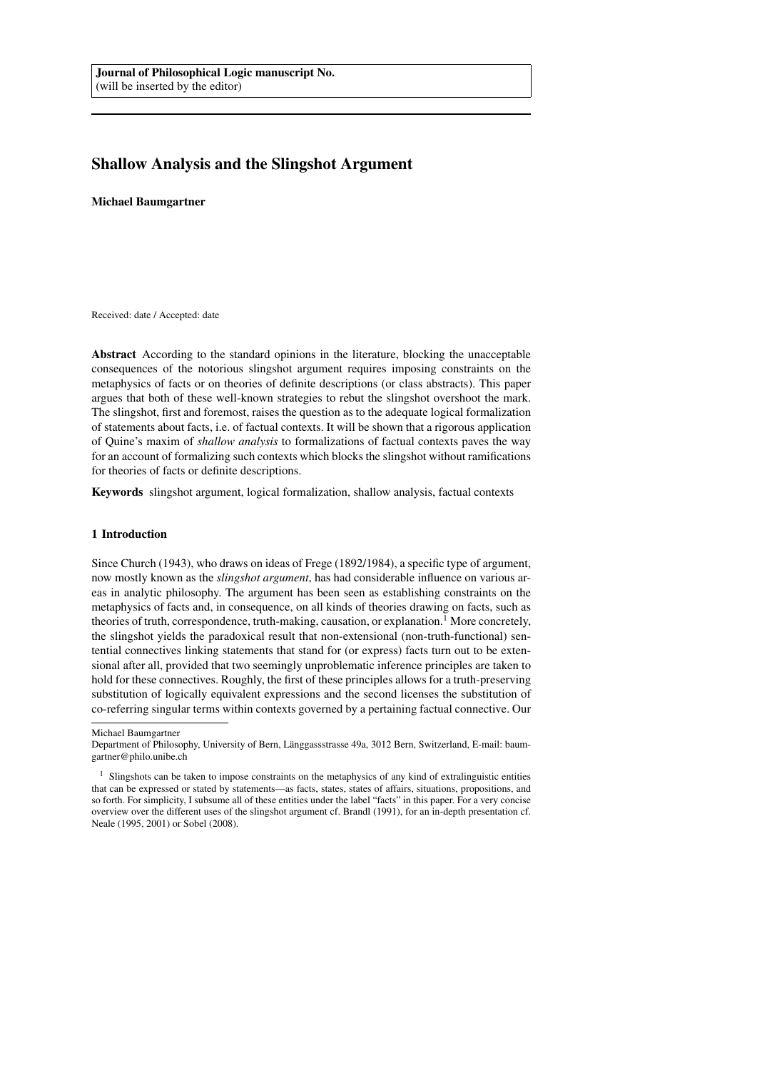# Shallow Analysis and the Slingshot Argument

Michael Baumgartner

Received: date / Accepted: date

Abstract According to the standard opinions in the literature, blocking the unacceptable consequences of the notorious slingshot argument requires imposing constraints on the metaphysics of facts or on theories of definite descriptions (or class abstracts). This paper argues that both of these well-known strategies to rebut the slingshot overshoot the mark. The slingshot, first and foremost, raises the question as to the adequate logical formalization of statements about facts, i.e. of factual contexts. It will be shown that a rigorous application of Quine's maxim of *shallow analysis* to formalizations of factual contexts paves the way for an account of formalizing such contexts which blocks the slingshot without ramifications for theories of facts or definite descriptions.

Keywords slingshot argument, logical formalization, shallow analysis, factual contexts

## 1 Introduction

Since Church (1943), who draws on ideas of Frege (1892/1984), a specific type of argument, now mostly known as the *slingshot argument*, has had considerable influence on various areas in analytic philosophy. The argument has been seen as establishing constraints on the metaphysics of facts and, in consequence, on all kinds of theories drawing on facts, such as theories of truth, correspondence, truth-making, causation, or explanation.<sup>1</sup> More concretely, the slingshot yields the paradoxical result that non-extensional (non-truth-functional) sentential connectives linking statements that stand for (or express) facts turn out to be extensional after all, provided that two seemingly unproblematic inference principles are taken to hold for these connectives. Roughly, the first of these principles allows for a truth-preserving substitution of logically equivalent expressions and the second licenses the substitution of co-referring singular terms within contexts governed by a pertaining factual connective. Our

Michael Baumgartner

Department of Philosophy, University of Bern, Länggassstrasse 49a, 3012 Bern, Switzerland, E-mail: baumgartner@philo.unibe.ch

<sup>&</sup>lt;sup>1</sup> Slingshots can be taken to impose constraints on the metaphysics of any kind of extralinguistic entities that can be expressed or stated by statements—as facts, states, states of affairs, situations, propositions, and so forth. For simplicity, I subsume all of these entities under the label "facts" in this paper. For a very concise overview over the different uses of the slingshot argument cf. Brandl (1991), for an in-depth presentation cf. Neale (1995, 2001) or Sobel (2008).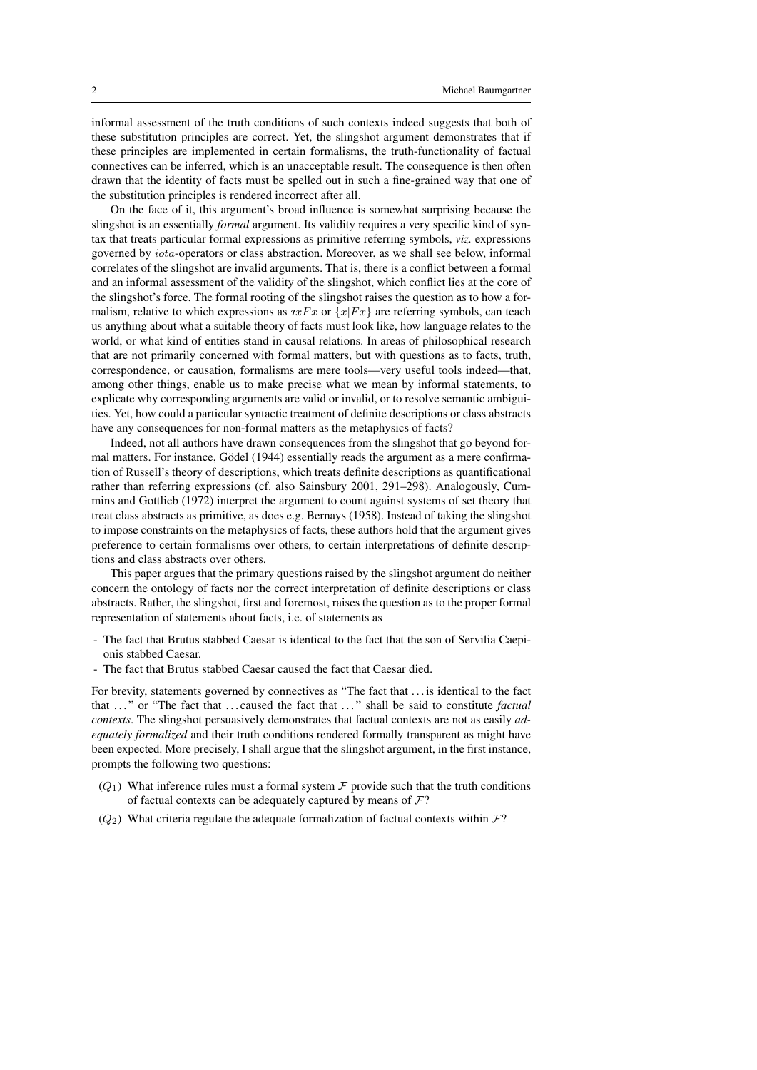informal assessment of the truth conditions of such contexts indeed suggests that both of these substitution principles are correct. Yet, the slingshot argument demonstrates that if these principles are implemented in certain formalisms, the truth-functionality of factual connectives can be inferred, which is an unacceptable result. The consequence is then often drawn that the identity of facts must be spelled out in such a fine-grained way that one of the substitution principles is rendered incorrect after all.

On the face of it, this argument's broad influence is somewhat surprising because the slingshot is an essentially *formal* argument. Its validity requires a very specific kind of syntax that treats particular formal expressions as primitive referring symbols, *viz.* expressions governed by iota-operators or class abstraction. Moreover, as we shall see below, informal correlates of the slingshot are invalid arguments. That is, there is a conflict between a formal and an informal assessment of the validity of the slingshot, which conflict lies at the core of the slingshot's force. The formal rooting of the slingshot raises the question as to how a formalism, relative to which expressions as  $\eta xFx$  or  $\eta xFx$  are referring symbols, can teach us anything about what a suitable theory of facts must look like, how language relates to the world, or what kind of entities stand in causal relations. In areas of philosophical research that are not primarily concerned with formal matters, but with questions as to facts, truth, correspondence, or causation, formalisms are mere tools—very useful tools indeed—that, among other things, enable us to make precise what we mean by informal statements, to explicate why corresponding arguments are valid or invalid, or to resolve semantic ambiguities. Yet, how could a particular syntactic treatment of definite descriptions or class abstracts have any consequences for non-formal matters as the metaphysics of facts?

Indeed, not all authors have drawn consequences from the slingshot that go beyond formal matters. For instance, Gödel (1944) essentially reads the argument as a mere confirmation of Russell's theory of descriptions, which treats definite descriptions as quantificational rather than referring expressions (cf. also Sainsbury 2001, 291–298). Analogously, Cummins and Gottlieb (1972) interpret the argument to count against systems of set theory that treat class abstracts as primitive, as does e.g. Bernays (1958). Instead of taking the slingshot to impose constraints on the metaphysics of facts, these authors hold that the argument gives preference to certain formalisms over others, to certain interpretations of definite descriptions and class abstracts over others.

This paper argues that the primary questions raised by the slingshot argument do neither concern the ontology of facts nor the correct interpretation of definite descriptions or class abstracts. Rather, the slingshot, first and foremost, raises the question as to the proper formal representation of statements about facts, i.e. of statements as

- The fact that Brutus stabbed Caesar is identical to the fact that the son of Servilia Caepionis stabbed Caesar.
- The fact that Brutus stabbed Caesar caused the fact that Caesar died.

For brevity, statements governed by connectives as "The fact that . . . is identical to the fact that . . . " or "The fact that . . . caused the fact that . . . " shall be said to constitute *factual contexts*. The slingshot persuasively demonstrates that factual contexts are not as easily *adequately formalized* and their truth conditions rendered formally transparent as might have been expected. More precisely, I shall argue that the slingshot argument, in the first instance, prompts the following two questions:

- $(Q_1)$  What inference rules must a formal system F provide such that the truth conditions of factual contexts can be adequately captured by means of  $\mathcal{F}$ ?
- $(Q_2)$  What criteria regulate the adequate formalization of factual contexts within  $\mathcal{F}$ ?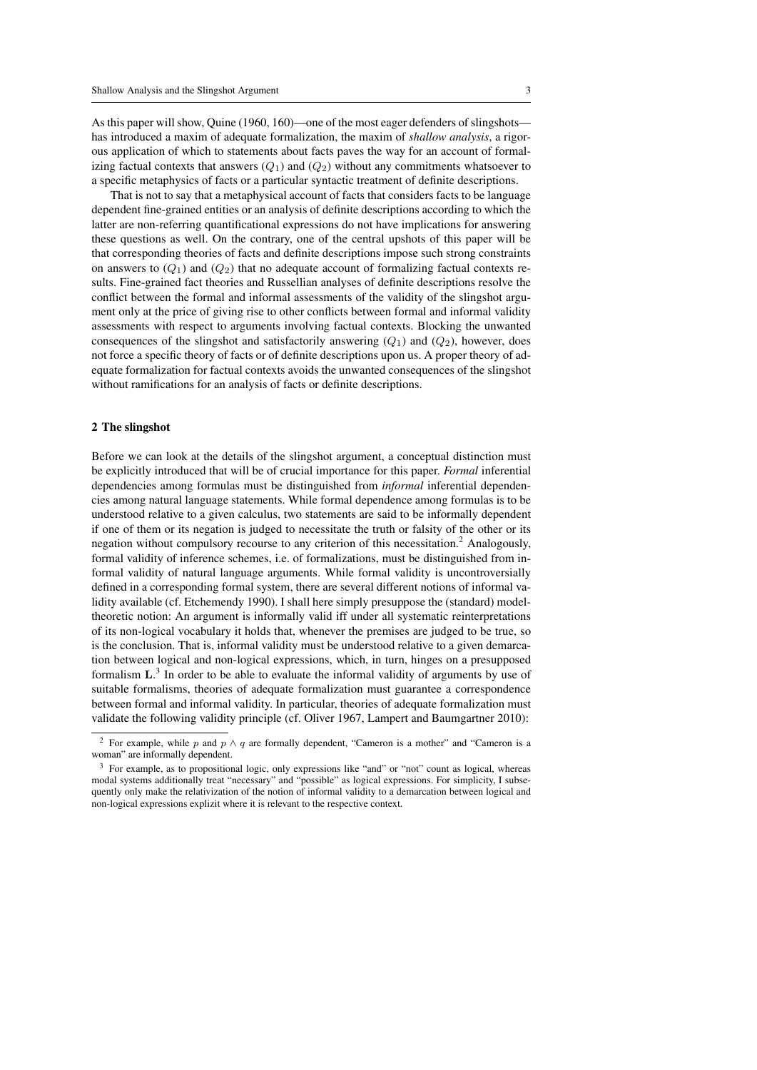As this paper will show, Quine (1960, 160)—one of the most eager defenders of slingshots has introduced a maxim of adequate formalization, the maxim of *shallow analysis*, a rigorous application of which to statements about facts paves the way for an account of formalizing factual contexts that answers  $(Q_1)$  and  $(Q_2)$  without any commitments whatsoever to a specific metaphysics of facts or a particular syntactic treatment of definite descriptions.

That is not to say that a metaphysical account of facts that considers facts to be language dependent fine-grained entities or an analysis of definite descriptions according to which the latter are non-referring quantificational expressions do not have implications for answering these questions as well. On the contrary, one of the central upshots of this paper will be that corresponding theories of facts and definite descriptions impose such strong constraints on answers to  $(Q_1)$  and  $(Q_2)$  that no adequate account of formalizing factual contexts results. Fine-grained fact theories and Russellian analyses of definite descriptions resolve the conflict between the formal and informal assessments of the validity of the slingshot argument only at the price of giving rise to other conflicts between formal and informal validity assessments with respect to arguments involving factual contexts. Blocking the unwanted consequences of the slingshot and satisfactorily answering  $(Q_1)$  and  $(Q_2)$ , however, does not force a specific theory of facts or of definite descriptions upon us. A proper theory of adequate formalization for factual contexts avoids the unwanted consequences of the slingshot without ramifications for an analysis of facts or definite descriptions.

#### 2 The slingshot

Before we can look at the details of the slingshot argument, a conceptual distinction must be explicitly introduced that will be of crucial importance for this paper. *Formal* inferential dependencies among formulas must be distinguished from *informal* inferential dependencies among natural language statements. While formal dependence among formulas is to be understood relative to a given calculus, two statements are said to be informally dependent if one of them or its negation is judged to necessitate the truth or falsity of the other or its negation without compulsory recourse to any criterion of this necessitation.<sup>2</sup> Analogously, formal validity of inference schemes, i.e. of formalizations, must be distinguished from informal validity of natural language arguments. While formal validity is uncontroversially defined in a corresponding formal system, there are several different notions of informal validity available (cf. Etchemendy 1990). I shall here simply presuppose the (standard) modeltheoretic notion: An argument is informally valid iff under all systematic reinterpretations of its non-logical vocabulary it holds that, whenever the premises are judged to be true, so is the conclusion. That is, informal validity must be understood relative to a given demarcation between logical and non-logical expressions, which, in turn, hinges on a presupposed formalism  $L<sup>3</sup>$  In order to be able to evaluate the informal validity of arguments by use of suitable formalisms, theories of adequate formalization must guarantee a correspondence between formal and informal validity. In particular, theories of adequate formalization must validate the following validity principle (cf. Oliver 1967, Lampert and Baumgartner 2010):

<sup>&</sup>lt;sup>2</sup> For example, while p and p  $\land$  q are formally dependent, "Cameron is a mother" and "Cameron is a woman" are informally dependent.

<sup>3</sup> For example, as to propositional logic, only expressions like "and" or "not" count as logical, whereas modal systems additionally treat "necessary" and "possible" as logical expressions. For simplicity, I subsequently only make the relativization of the notion of informal validity to a demarcation between logical and non-logical expressions explizit where it is relevant to the respective context.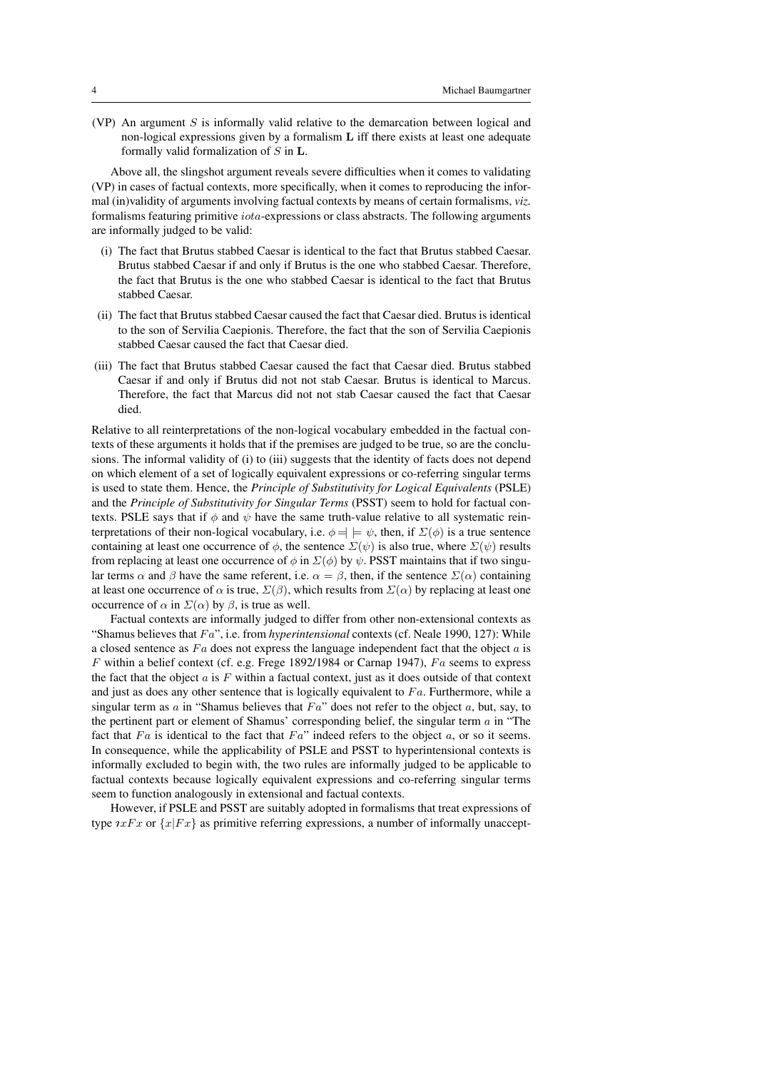(VP) An argument  $S$  is informally valid relative to the demarcation between logical and non-logical expressions given by a formalism L iff there exists at least one adequate formally valid formalization of  $S$  in  $L$ .

Above all, the slingshot argument reveals severe difficulties when it comes to validating (VP) in cases of factual contexts, more specifically, when it comes to reproducing the informal (in)validity of arguments involving factual contexts by means of certain formalisms, *viz.* formalisms featuring primitive iota-expressions or class abstracts. The following arguments are informally judged to be valid:

- (i) The fact that Brutus stabbed Caesar is identical to the fact that Brutus stabbed Caesar. Brutus stabbed Caesar if and only if Brutus is the one who stabbed Caesar. Therefore, the fact that Brutus is the one who stabbed Caesar is identical to the fact that Brutus stabbed Caesar.
- (ii) The fact that Brutus stabbed Caesar caused the fact that Caesar died. Brutus is identical to the son of Servilia Caepionis. Therefore, the fact that the son of Servilia Caepionis stabbed Caesar caused the fact that Caesar died.
- (iii) The fact that Brutus stabbed Caesar caused the fact that Caesar died. Brutus stabbed Caesar if and only if Brutus did not not stab Caesar. Brutus is identical to Marcus. Therefore, the fact that Marcus did not not stab Caesar caused the fact that Caesar died.

Relative to all reinterpretations of the non-logical vocabulary embedded in the factual contexts of these arguments it holds that if the premises are judged to be true, so are the conclusions. The informal validity of (i) to (iii) suggests that the identity of facts does not depend on which element of a set of logically equivalent expressions or co-referring singular terms is used to state them. Hence, the *Principle of Substitutivity for Logical Equivalents* (PSLE) and the *Principle of Substitutivity for Singular Terms* (PSST) seem to hold for factual contexts. PSLE says that if  $\phi$  and  $\psi$  have the same truth-value relative to all systematic reinterpretations of their non-logical vocabulary, i.e.  $\phi = \phi \models \psi$ , then, if  $\Sigma(\phi)$  is a true sentence containing at least one occurrence of  $\phi$ , the sentence  $\Sigma(\psi)$  is also true, where  $\Sigma(\psi)$  results from replacing at least one occurrence of  $\phi$  in  $\Sigma(\phi)$  by  $\psi$ . PSST maintains that if two singular terms  $\alpha$  and  $\beta$  have the same referent, i.e.  $\alpha = \beta$ , then, if the sentence  $\Sigma(\alpha)$  containing at least one occurrence of  $\alpha$  is true,  $\Sigma(\beta)$ , which results from  $\Sigma(\alpha)$  by replacing at least one occurrence of  $\alpha$  in  $\Sigma(\alpha)$  by  $\beta$ , is true as well.

Factual contexts are informally judged to differ from other non-extensional contexts as "Shamus believes that Fa", i.e. from *hyperintensional* contexts (cf. Neale 1990, 127): While a closed sentence as  $Fa$  does not express the language independent fact that the object  $a$  is  $F$  within a belief context (cf. e.g. Frege 1892/1984 or Carnap 1947),  $Fa$  seems to express the fact that the object  $a$  is  $F$  within a factual context, just as it does outside of that context and just as does any other sentence that is logically equivalent to  $Fa$ . Furthermore, while a singular term as  $a$  in "Shamus believes that  $Fa$ " does not refer to the object  $a$ , but, say, to the pertinent part or element of Shamus' corresponding belief, the singular term  $a$  in "The fact that  $Fa$  is identical to the fact that  $Fa$ " indeed refers to the object  $a$ , or so it seems. In consequence, while the applicability of PSLE and PSST to hyperintensional contexts is informally excluded to begin with, the two rules are informally judged to be applicable to factual contexts because logically equivalent expressions and co-referring singular terms seem to function analogously in extensional and factual contexts.

However, if PSLE and PSST are suitably adopted in formalisms that treat expressions of type  $\iota xFx$  or  $\{x|Fx\}$  as primitive referring expressions, a number of informally unaccept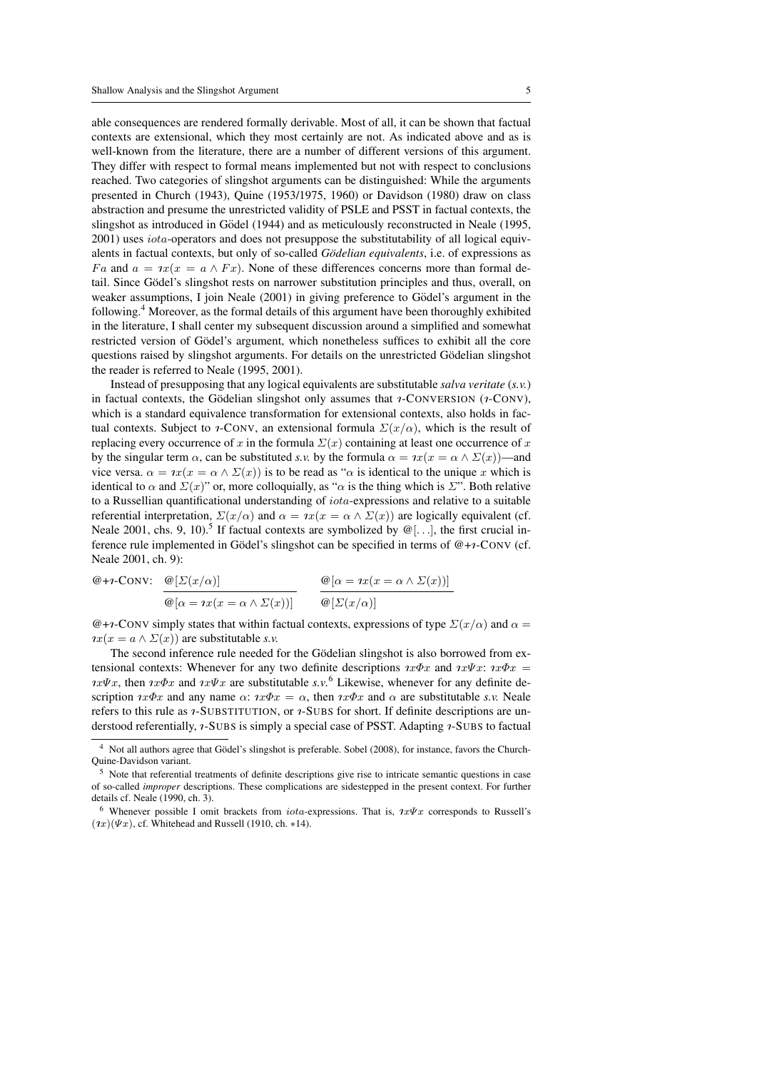able consequences are rendered formally derivable. Most of all, it can be shown that factual contexts are extensional, which they most certainly are not. As indicated above and as is well-known from the literature, there are a number of different versions of this argument. They differ with respect to formal means implemented but not with respect to conclusions reached. Two categories of slingshot arguments can be distinguished: While the arguments presented in Church (1943), Quine (1953/1975, 1960) or Davidson (1980) draw on class abstraction and presume the unrestricted validity of PSLE and PSST in factual contexts, the slingshot as introduced in Gödel (1944) and as meticulously reconstructed in Neale (1995, 2001) uses iota-operators and does not presuppose the substitutability of all logical equivalents in factual contexts, but only of so-called *Godelian equivalents ¨* , i.e. of expressions as Fa and  $a = x(x = a \wedge Fx)$ . None of these differences concerns more than formal detail. Since Gödel's slingshot rests on narrower substitution principles and thus, overall, on weaker assumptions, I join Neale  $(2001)$  in giving preference to Gödel's argument in the following.<sup>4</sup> Moreover, as the formal details of this argument have been thoroughly exhibited in the literature, I shall center my subsequent discussion around a simplified and somewhat restricted version of Gödel's argument, which nonetheless suffices to exhibit all the core questions raised by slingshot arguments. For details on the unrestricted Gödelian slingshot the reader is referred to Neale (1995, 2001).

Instead of presupposing that any logical equivalents are substitutable *salva veritate* (*s.v.*) in factual contexts, the Gödelian slingshot only assumes that  $\imath$ -CONVERSION ( $\imath$ -CONV), which is a standard equivalence transformation for extensional contexts, also holds in factual contexts. Subject to *i*-CONV, an extensional formula  $\Sigma(x/\alpha)$ , which is the result of replacing every occurrence of x in the formula  $\Sigma(x)$  containing at least one occurrence of x by the singular term  $\alpha$ , can be substituted *s.v.* by the formula  $\alpha = \alpha x(x = \alpha \wedge \Sigma(x))$ —and vice versa.  $\alpha = \iota x(x = \alpha \wedge \Sigma(x))$  is to be read as " $\alpha$  is identical to the unique x which is identical to  $\alpha$  and  $\Sigma(x)$ " or, more colloquially, as " $\alpha$  is the thing which is  $\Sigma$ ". Both relative to a Russellian quantificational understanding of  $iota$ -expressions and relative to a suitable referential interpretation,  $\Sigma(x/\alpha)$  and  $\alpha = \alpha x(x = \alpha \wedge \Sigma(x))$  are logically equivalent (cf. Neale 2001, chs. 9, 10).<sup>5</sup> If factual contexts are symbolized by  $\mathcal{Q}[\ldots]$ , the first crucial inference rule implemented in Gödel's slingshot can be specified in terms of  $@+*i*-Conv (cf.$ Neale 2001, ch. 9):

$$
\textcircled{e}\text{+}\imath\text{-}\text{Conv:} \quad \frac{\textcircled{e}[\Sigma(x/\alpha)]}{\textcircled{e}[\alpha = \imath x(x = \alpha \wedge \Sigma(x))]} \qquad \frac{\textcircled{e}[\alpha = \imath x(x = \alpha \wedge \Sigma(x))]}{\textcircled{e}[\Sigma(x/\alpha)]}
$$

 $@+i$ -CONV simply states that within factual contexts, expressions of type  $\Sigma(x/\alpha)$  and  $\alpha =$  $\eta x(x = a \wedge \Sigma(x))$  are substitutable *s.v.* 

The second inference rule needed for the Gödelian slingshot is also borrowed from extensional contexts: Whenever for any two definite descriptions  $\imath x \Phi x$  and  $\imath x \Psi x$ :  $\imath x \Phi x$  =  $\partial x\Psi x$ , then  $\partial x\Phi x$  and  $\partial x\Psi x$  are substitutable *s.v.*<sup>6</sup> Likewise, whenever for any definite description  $\alpha x \Phi x$  and any name  $\alpha$ :  $\alpha x \Phi x = \alpha$ , then  $\alpha x \Phi x$  and  $\alpha$  are substitutable *s.v.* Neale refers to this rule as *1*-SUBSTITUTION, or *1*-SUBS for short. If definite descriptions are understood referentially, *1*-SUBS is simply a special case of PSST. Adapting *1*-SUBS to factual

<sup>&</sup>lt;sup>4</sup> Not all authors agree that Gödel's slingshot is preferable. Sobel (2008), for instance, favors the Church-Quine-Davidson variant.

<sup>&</sup>lt;sup>5</sup> Note that referential treatments of definite descriptions give rise to intricate semantic questions in case of so-called *improper* descriptions. These complications are sidestepped in the present context. For further details cf. Neale (1990, ch. 3).

<sup>&</sup>lt;sup>6</sup> Whenever possible I omit brackets from *iota-expressions*. That is,  $\ell x \Psi x$  corresponds to Russell's  $(\ell x)(\Psi x)$ , cf. Whitehead and Russell (1910, ch. \*14).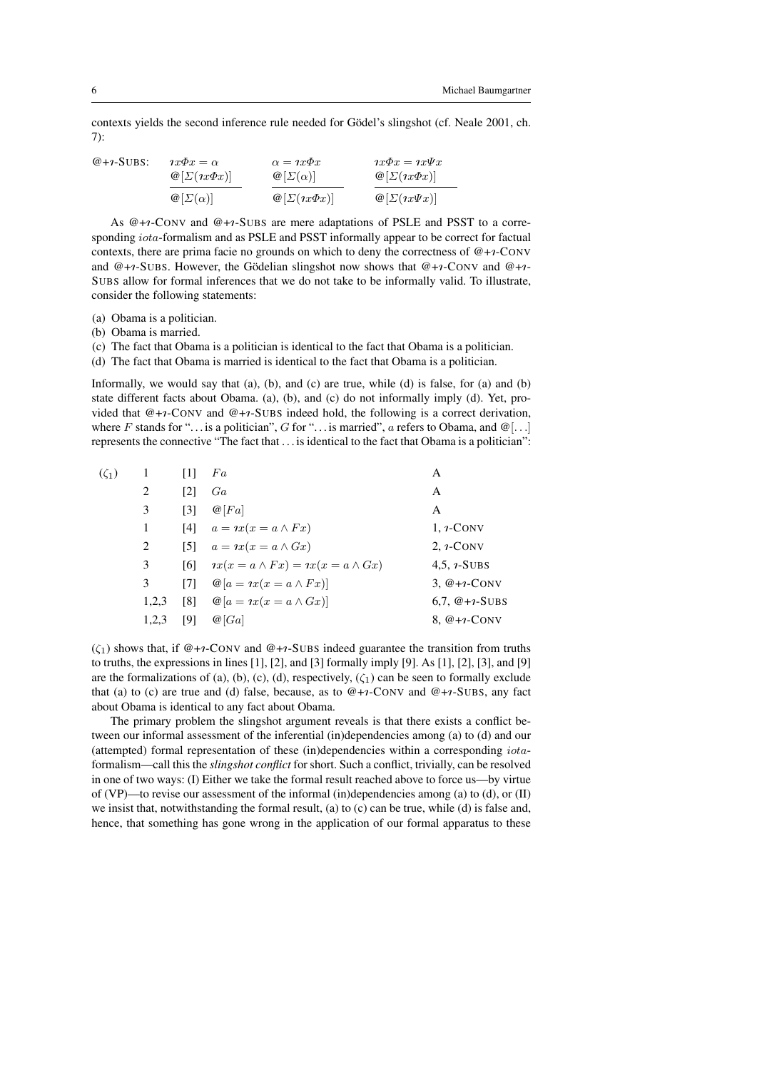contexts yields the second inference rule needed for Gödel's slingshot (cf. Neale 2001, ch. 7):

| $@+ \iota$ -SUBS: | $\alpha x \Phi x = \alpha$          | $\alpha = \iota x \varphi x$           | $\iota x \Phi x = \iota x \Psi x$      |  |
|-------------------|-------------------------------------|----------------------------------------|----------------------------------------|--|
|                   | $\mathcal{Q}[\Sigma(\eta x\Phi x)]$ | $\omega[\Sigma(\alpha)]$               | $\mathcal{Q}[\Sigma(\eta x\Phi x)]$    |  |
|                   | $\mathcal{Q}[\Sigma(\alpha)]$       | $\mathcal{Q}[\Sigma(\imath x \Phi x)]$ | $\mathcal{Q}[\Sigma(\imath x \Psi x)]$ |  |

As  $@+*i*-Conv$  and  $@+*i*-SUBs$  are mere adaptations of PSLE and PSST to a corresponding *iota*-formalism and as PSLE and PSST informally appear to be correct for factual contexts, there are prima facie no grounds on which to deny the correctness of  $@+*i*-Conv$ and  $@+r$ -SUBS. However, the Gödelian slingshot now shows that  $@+r$ -CONV and  $@+r$ -SUBS allow for formal inferences that we do not take to be informally valid. To illustrate, consider the following statements:

- (a) Obama is a politician.
- (b) Obama is married.

(c) The fact that Obama is a politician is identical to the fact that Obama is a politician.

(d) The fact that Obama is married is identical to the fact that Obama is a politician.

Informally, we would say that (a), (b), and (c) are true, while (d) is false, for (a) and (b) state different facts about Obama. (a), (b), and (c) do not informally imply (d). Yet, provided that  $@+*i*-CONV$  and  $@+*i*-SUBS$  indeed hold, the following is a correct derivation, where F stands for "... is a politician", G for "... is married", a refers to Obama, and  $\mathcal{Q}[\ldots]$ represents the connective "The fact that  $\dots$  is identical to the fact that Obama is a politician":

| $(\zeta_1)$ | 1     | $\lceil 1 \rceil$ | Fa                                                  | А                |
|-------------|-------|-------------------|-----------------------------------------------------|------------------|
|             | 2     | $\lceil 2 \rceil$ | Ga                                                  | А                |
|             | 3     | $\lceil 3 \rceil$ | $\mathcal{Q}[Fa]$                                   | А                |
|             | 1     |                   | [4] $a = \iota x(x = a \wedge Fx)$                  | $1, \nu$ -CONV   |
|             | 2     |                   | [5] $a = \iota x(x = a \wedge Gx)$                  | $2, \iota$ -CONV |
|             | 3     | [6]               | $\eta x(x = a \wedge Fx) = \eta x(x = a \wedge Gx)$ | 4.5, $i$ -SUBS   |
|             | 3     | 17 I              | $\mathcal{Q}[a = \iota x(x = a \wedge Fx)]$         | 3, $@+i$ -CONV   |
|             | 1,2,3 | $\lceil 8 \rceil$ | $\mathcal{Q}[a = \iota x(x = a \wedge Gx)]$         | 6,7, $@+i-SUBS$  |
|             | 1,2,3 | [9]               | @ Ga                                                | 8, $@+i$ -CONV   |

 $(\zeta_1)$  shows that, if  $@+_{1}$ -CONV and  $@+_{1}$ -SUBS indeed guarantee the transition from truths to truths, the expressions in lines  $[1]$ ,  $[2]$ , and  $[3]$  formally imply  $[9]$ . As  $[1]$ ,  $[2]$ ,  $[3]$ , and  $[9]$ are the formalizations of (a), (b), (c), (d), respectively,  $(\zeta_1)$  can be seen to formally exclude that (a) to (c) are true and (d) false, because, as to  $@+*i*-CONV$  and  $@+*i*-SUBS$ , any fact about Obama is identical to any fact about Obama.

The primary problem the slingshot argument reveals is that there exists a conflict between our informal assessment of the inferential (in)dependencies among (a) to (d) and our (attempted) formal representation of these (in)dependencies within a corresponding iotaformalism—call this the *slingshot conflict* for short. Such a conflict, trivially, can be resolved in one of two ways: (I) Either we take the formal result reached above to force us—by virtue of (VP)—to revise our assessment of the informal (in)dependencies among (a) to (d), or (II) we insist that, notwithstanding the formal result, (a) to (c) can be true, while (d) is false and, hence, that something has gone wrong in the application of our formal apparatus to these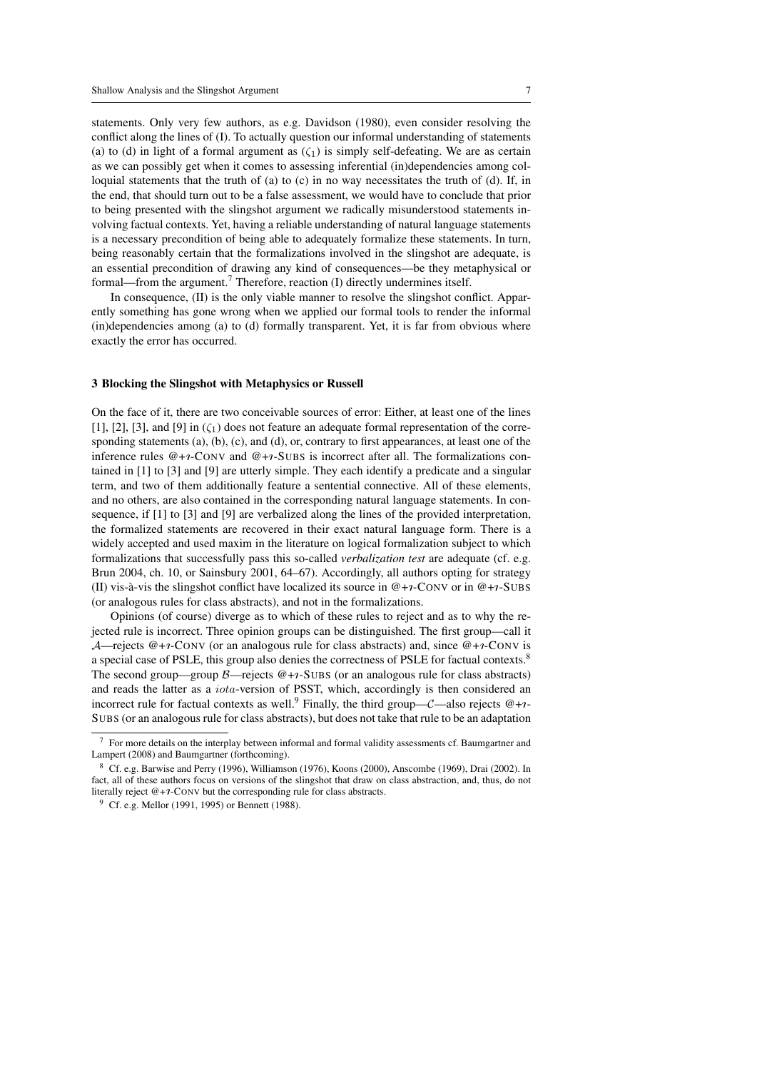statements. Only very few authors, as e.g. Davidson (1980), even consider resolving the conflict along the lines of (I). To actually question our informal understanding of statements (a) to (d) in light of a formal argument as  $(\zeta_1)$  is simply self-defeating. We are as certain as we can possibly get when it comes to assessing inferential (in)dependencies among colloquial statements that the truth of (a) to (c) in no way necessitates the truth of (d). If, in the end, that should turn out to be a false assessment, we would have to conclude that prior to being presented with the slingshot argument we radically misunderstood statements involving factual contexts. Yet, having a reliable understanding of natural language statements is a necessary precondition of being able to adequately formalize these statements. In turn, being reasonably certain that the formalizations involved in the slingshot are adequate, is an essential precondition of drawing any kind of consequences—be they metaphysical or formal—from the argument.<sup>7</sup> Therefore, reaction (I) directly undermines itself.

In consequence, (II) is the only viable manner to resolve the slingshot conflict. Apparently something has gone wrong when we applied our formal tools to render the informal (in)dependencies among (a) to (d) formally transparent. Yet, it is far from obvious where exactly the error has occurred.

#### 3 Blocking the Slingshot with Metaphysics or Russell

On the face of it, there are two conceivable sources of error: Either, at least one of the lines [1], [2], [3], and [9] in  $(\zeta_1)$  does not feature an adequate formal representation of the corresponding statements (a), (b), (c), and (d), or, contrary to first appearances, at least one of the inference rules  $@+*i*-Conv and  $@+*i*-SUBS$  is incorrect after all. The formalizations con$ tained in [1] to [3] and [9] are utterly simple. They each identify a predicate and a singular term, and two of them additionally feature a sentential connective. All of these elements, and no others, are also contained in the corresponding natural language statements. In consequence, if [1] to [3] and [9] are verbalized along the lines of the provided interpretation, the formalized statements are recovered in their exact natural language form. There is a widely accepted and used maxim in the literature on logical formalization subject to which formalizations that successfully pass this so-called *verbalization test* are adequate (cf. e.g. Brun 2004, ch. 10, or Sainsbury 2001, 64–67). Accordingly, all authors opting for strategy (II) vis-à-vis the slingshot conflict have localized its source in  $@+*i*-Conv or in  $@+*i*-SUBS$$ (or analogous rules for class abstracts), and not in the formalizations.

Opinions (of course) diverge as to which of these rules to reject and as to why the rejected rule is incorrect. Three opinion groups can be distinguished. The first group—call it A—rejects  $@+r$ -CONV (or an analogous rule for class abstracts) and, since  $@+r$ -CONV is a special case of PSLE, this group also denies the correctness of PSLE for factual contexts.<sup>8</sup> The second group—group  $\beta$ —rejects  $@+r$ -SUBS (or an analogous rule for class abstracts) and reads the latter as a iota-version of PSST, which, accordingly is then considered an incorrect rule for factual contexts as well.<sup>9</sup> Finally, the third group— $C$ —also rejects  $@+r-$ SUBS (or an analogous rule for class abstracts), but does not take that rule to be an adaptation

<sup>7</sup> For more details on the interplay between informal and formal validity assessments cf. Baumgartner and Lampert (2008) and Baumgartner (forthcoming).

 $8\text{ Cf. e.g. Barwise and Perry (1996), Williamson (1976), Koons (2000), Anscombe (1969), Drai (2002). In$ fact, all of these authors focus on versions of the slingshot that draw on class abstraction, and, thus, do not literally reject  $@+*1*-Conv$  but the corresponding rule for class abstracts.

 $9$  Cf. e.g. Mellor (1991, 1995) or Bennett (1988).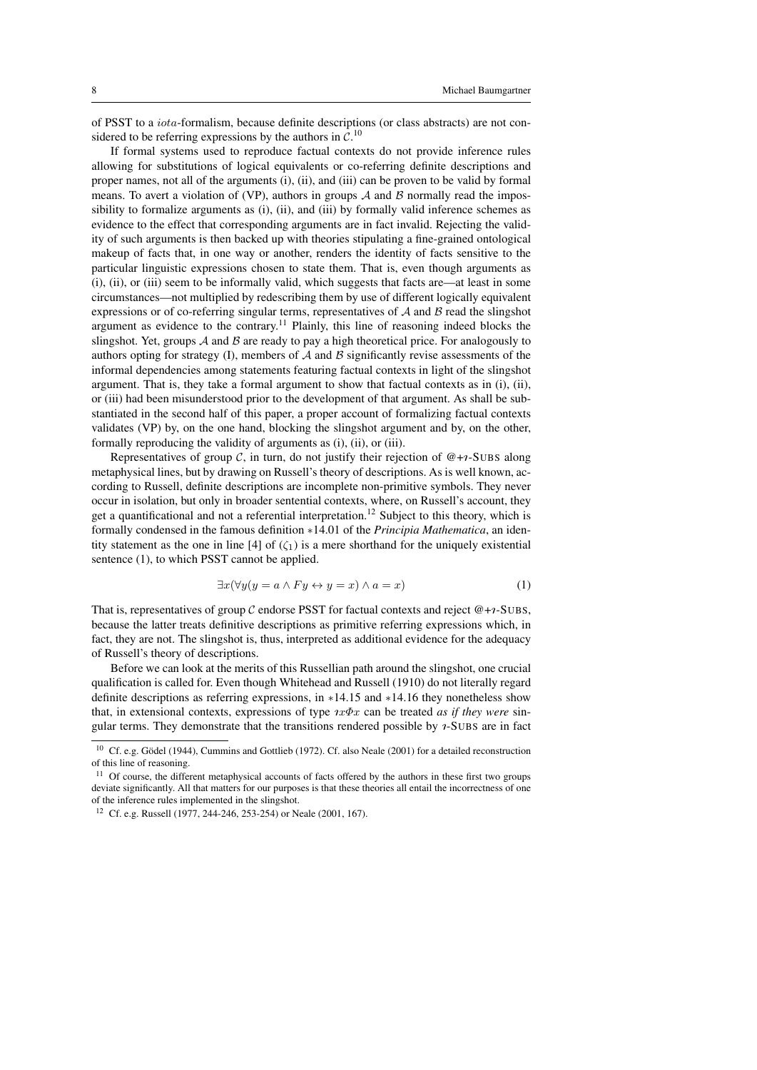of PSST to a iota-formalism, because definite descriptions (or class abstracts) are not considered to be referring expressions by the authors in  $C$ .<sup>10</sup>

If formal systems used to reproduce factual contexts do not provide inference rules allowing for substitutions of logical equivalents or co-referring definite descriptions and proper names, not all of the arguments (i), (ii), and (iii) can be proven to be valid by formal means. To avert a violation of (VP), authors in groups  $A$  and  $B$  normally read the impossibility to formalize arguments as (i), (ii), and (iii) by formally valid inference schemes as evidence to the effect that corresponding arguments are in fact invalid. Rejecting the validity of such arguments is then backed up with theories stipulating a fine-grained ontological makeup of facts that, in one way or another, renders the identity of facts sensitive to the particular linguistic expressions chosen to state them. That is, even though arguments as (i), (ii), or (iii) seem to be informally valid, which suggests that facts are—at least in some circumstances—not multiplied by redescribing them by use of different logically equivalent expressions or of co-referring singular terms, representatives of  $A$  and  $B$  read the slingshot argument as evidence to the contrary.<sup>11</sup> Plainly, this line of reasoning indeed blocks the slingshot. Yet, groups  $A$  and  $B$  are ready to pay a high theoretical price. For analogously to authors opting for strategy (I), members of  $A$  and  $B$  significantly revise assessments of the informal dependencies among statements featuring factual contexts in light of the slingshot argument. That is, they take a formal argument to show that factual contexts as in  $(i)$ ,  $(ii)$ , or (iii) had been misunderstood prior to the development of that argument. As shall be substantiated in the second half of this paper, a proper account of formalizing factual contexts validates (VP) by, on the one hand, blocking the slingshot argument and by, on the other, formally reproducing the validity of arguments as (i), (ii), or (iii).

Representatives of group C, in turn, do not justify their rejection of  $@+7$ -SUBS along metaphysical lines, but by drawing on Russell's theory of descriptions. As is well known, according to Russell, definite descriptions are incomplete non-primitive symbols. They never occur in isolation, but only in broader sentential contexts, where, on Russell's account, they get a quantificational and not a referential interpretation.<sup>12</sup> Subject to this theory, which is formally condensed in the famous definition ∗14.01 of the *Principia Mathematica*, an identity statement as the one in line [4] of  $(\zeta_1)$  is a mere shorthand for the uniquely existential sentence (1), to which PSST cannot be applied.

$$
\exists x (\forall y (y = a \land Fy \leftrightarrow y = x) \land a = x)
$$
(1)

That is, representatives of group C endorse PSST for factual contexts and reject  $@+r$ -SUBS, because the latter treats definitive descriptions as primitive referring expressions which, in fact, they are not. The slingshot is, thus, interpreted as additional evidence for the adequacy of Russell's theory of descriptions.

Before we can look at the merits of this Russellian path around the slingshot, one crucial qualification is called for. Even though Whitehead and Russell (1910) do not literally regard definite descriptions as referring expressions, in ∗14.15 and ∗14.16 they nonetheless show that, in extensional contexts, expressions of type  $\alpha \Phi x$  can be treated *as if they were* singular terms. They demonstrate that the transitions rendered possible by  $\imath$ -SUBS are in fact

 $10$  Cf. e.g. Gödel (1944), Cummins and Gottlieb (1972). Cf. also Neale (2001) for a detailed reconstruction of this line of reasoning.

<sup>&</sup>lt;sup>11</sup> Of course, the different metaphysical accounts of facts offered by the authors in these first two groups deviate significantly. All that matters for our purposes is that these theories all entail the incorrectness of one of the inference rules implemented in the slingshot.

<sup>12</sup> Cf. e.g. Russell (1977, 244-246, 253-254) or Neale (2001, 167).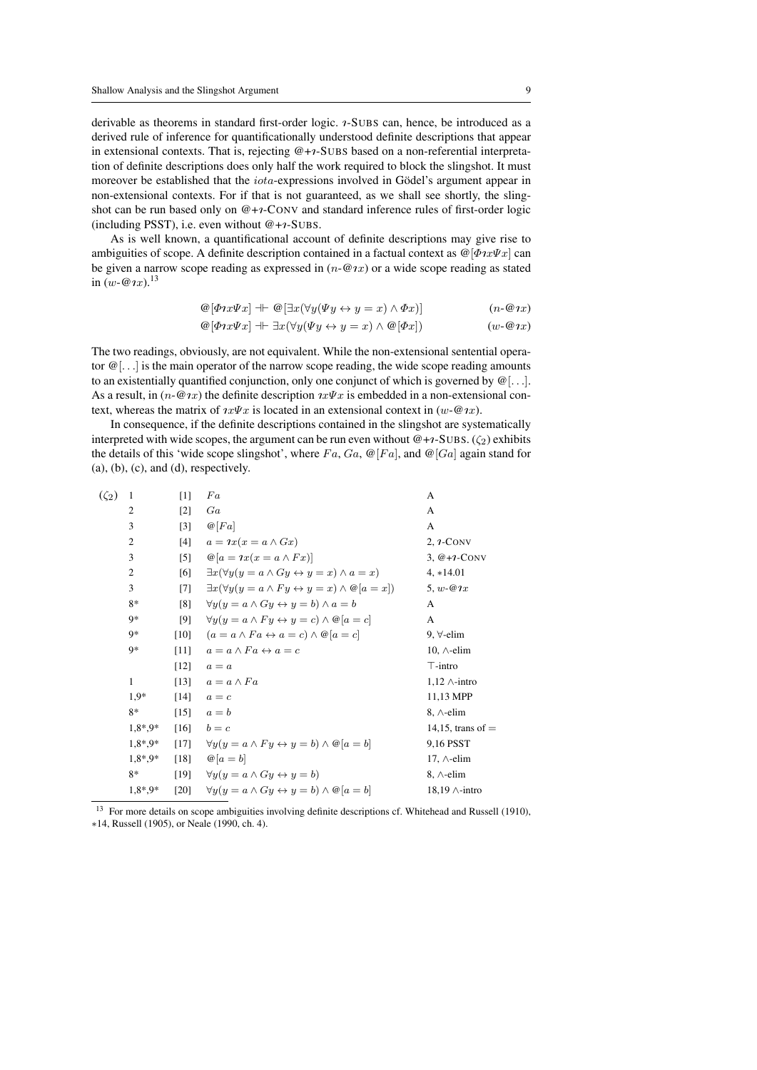derivable as theorems in standard first-order logic. *1*-SUBS can, hence, be introduced as a derived rule of inference for quantificationally understood definite descriptions that appear in extensional contexts. That is, rejecting  $@+7$ -SUBS based on a non-referential interpretation of definite descriptions does only half the work required to block the slingshot. It must moreover be established that the *iota*-expressions involved in Gödel's argument appear in non-extensional contexts. For if that is not guaranteed, as we shall see shortly, the slingshot can be run based only on  $@+*i*-CONV$  and standard inference rules of first-order logic (including PSST), i.e. even without  $@+r$ -SUBS.

As is well known, a quantificational account of definite descriptions may give rise to ambiguities of scope. A definite description contained in a factual context as  $\mathcal{Q}[\Phi \hat{x} \Psi x]$  can be given a narrow scope reading as expressed in  $(n-\omega x)$  or a wide scope reading as stated in  $(w - \omega \hat{z})^{13}$ 

$$
\mathcal{Q}[\Phi \hat{\psi} \hat{\psi} \hat{\psi}] + \mathcal{Q}[\exists x (\forall y (\Psi \hat{\psi} \leftrightarrow \hat{\psi} = x) \land \Phi x)] \qquad (n \text{-} \mathcal{Q} \hat{\psi} \hat{\psi})
$$

$$
\mathcal{Q}[\Phi \hat{\psi} \hat{\psi} \hat{\psi}] + \exists x (\forall y (\Psi \hat{\psi} \leftrightarrow \hat{\psi} = x) \land \mathcal{Q}[\Phi x]) \tag{w-@y}
$$

The two readings, obviously, are not equivalent. While the non-extensional sentential operator  $\mathcal{Q}[\ldots]$  is the main operator of the narrow scope reading, the wide scope reading amounts to an existentially quantified conjunction, only one conjunct of which is governed by  $\mathcal{Q}[\ldots]$ . As a result, in  $(n-\mathcal{Q}nx)$  the definite description  $nx\Psi x$  is embedded in a non-extensional context, whereas the matrix of  $\iota x \Psi x$  is located in an extensional context in  $(w - \mathcal{Q} x)$ .

In consequence, if the definite descriptions contained in the slingshot are systematically interpreted with wide scopes, the argument can be run even without  $@+r$ -SUBS. ( $\zeta_2$ ) exhibits the details of this 'wide scope slingshot', where  $Fa, Ga, \mathcal{Q}[Fa]$ , and  $\mathcal{Q}[Ga]$  again stand for  $(a)$ ,  $(b)$ ,  $(c)$ , and  $(d)$ , respectively.

| $(\zeta_2)$ | 1              | $[1]$             | $_{Fa}$                                                                       | A                         |
|-------------|----------------|-------------------|-------------------------------------------------------------------------------|---------------------------|
|             | $\overline{c}$ | $[2]$             | Ga                                                                            | A                         |
|             | 3              | $\lceil 3 \rceil$ | $\mathcal{Q}[Fa]$                                                             | A                         |
|             | 2              | [4]               | $a = \iota x(x = a \wedge Gx)$                                                | $2, 1$ -CONV              |
|             | 3              | $\lceil 5 \rceil$ | $\mathcal{Q}[a = \iota x(x = a \wedge Fx)]$                                   | $3, @+7-CONV$             |
|             | $\overline{2}$ | [6]               | $\exists x (\forall y (y = a \land Gy \leftrightarrow y = x) \land a = x)$    | $4, *14.01$               |
|             | 3              | [7]               | $\exists x (\forall y (y = a \land Fy \leftrightarrow y = x) \land @[a = x])$ | $5, w \in \mathcal{Q}$ 1x |
|             | $8*$           | [8]               | $\forall y(y = a \land Gu \leftrightarrow y = b) \land a = b$                 | A                         |
|             | 9*             | [9]               | $\forall y(y=a \land Fy \leftrightarrow y=c) \land @[a=c]$                    | A                         |
|             | 9*             | [10]              | $(a = a \wedge Fa \leftrightarrow a = c) \wedge @a = c]$                      | 9, $\forall$ -elim        |
|             | 9*             | $[11]$            | $a = a \wedge Fa \leftrightarrow a = c$                                       | 10, $\wedge$ -elim        |
|             |                | $[12]$            | $a = a$                                                                       | $\top$ -intro             |
|             | 1              | [13]              | $a = a \wedge Fa$                                                             | $1,12 \wedge$ -intro      |
|             | $1.9*$         | [14]              | $a = c$                                                                       | 11,13 MPP                 |
|             | $8*$           | [15]              | $a = b$                                                                       | $8, \wedge$ -elim         |
|             | $1.8^* . 9^*$  | [16]              | $b=c$                                                                         | 14,15, trans of $=$       |
|             | $1.8^*$ .9*    | $[17]$            | $\forall u(u=a \wedge Fu \leftrightarrow u=b) \wedge @a=b$                    | 9,16 PSST                 |
|             | $1.8^* . 9^*$  | [18]              | $\mathcal{Q}[a = b]$                                                          | 17, $\wedge$ -elim        |
|             | $8*$           | [19]              | $\forall y(y=a \land Gy \leftrightarrow y=b)$                                 | $8, \wedge$ -elim         |
|             | $1,8^*$ , 9*   | [20]              | $\forall y(y=a \land Gy \leftrightarrow y=b) \land @[a=b]$                    | $18,19 \wedge$ -intro     |

<sup>&</sup>lt;sup>13</sup> For more details on scope ambiguities involving definite descriptions cf. Whitehead and Russell (1910), ∗14, Russell (1905), or Neale (1990, ch. 4).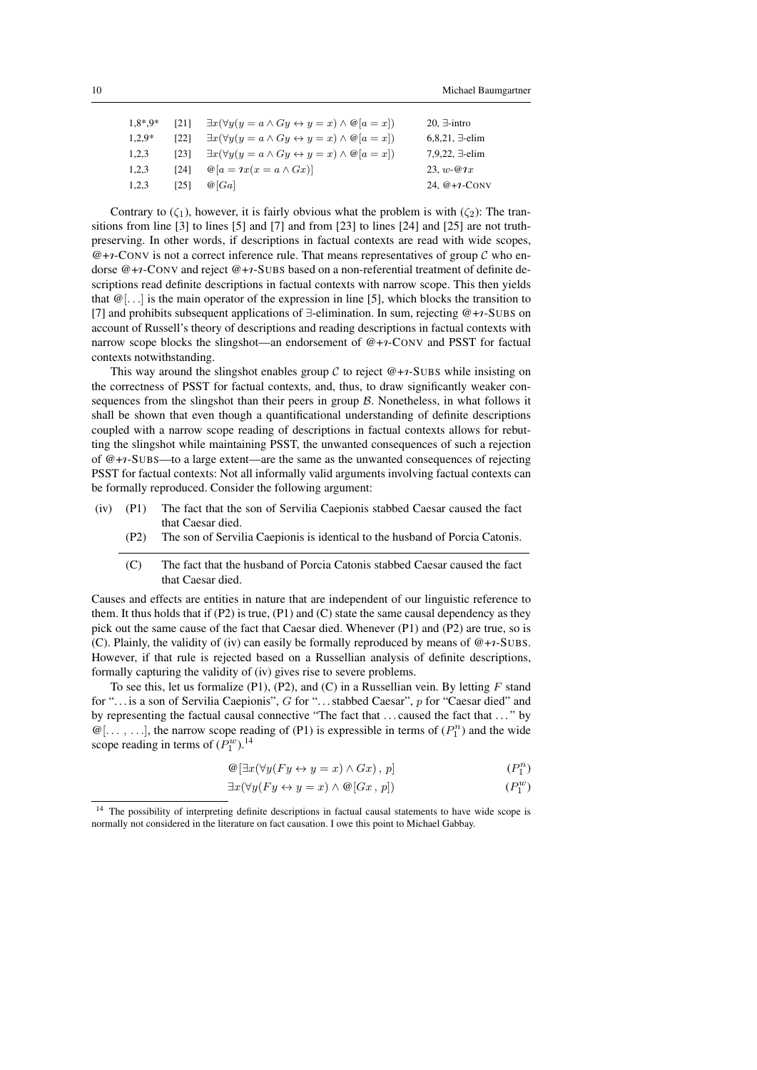| $1.8^*9^*$ | <b>1211</b> | $\exists x (\forall y (y = a \land Gy \leftrightarrow y = x) \land @[a = x])$ | 20, $\exists$ -intro    |
|------------|-------------|-------------------------------------------------------------------------------|-------------------------|
| $1,2.9*$   | 1221        | $\exists x (\forall y (y = a \land Gy \leftrightarrow y = x) \land @[a = x])$ | $6,8,21, \exists$ -elim |
| 1,2,3      | [23]        | $\exists x (\forall y (y = a \land Gy \leftrightarrow y = x) \land @[a = x])$ | $7,9,22, \exists$ -elim |
| 1,2,3      | [24]        | $\mathcal{Q}[a = \iota x(x = a \wedge Gx)]$                                   | 23. $w - Q x$           |
| 1,2,3      | [25]        | @[Ga]                                                                         | 24, $@+1$ -CONV         |

Contrary to  $(\zeta_1)$ , however, it is fairly obvious what the problem is with  $(\zeta_2)$ : The transitions from line [3] to lines [5] and [7] and from [23] to lines [24] and [25] are not truthpreserving. In other words, if descriptions in factual contexts are read with wide scopes,  $@+i$ -CONV is not a correct inference rule. That means representatives of group C who endorse  $@+*i*-Conv and reject  $@+*i*-SUBS$  based on a non-referential treatment of definite de$ scriptions read definite descriptions in factual contexts with narrow scope. This then yields that  $\mathcal{Q}[\ldots]$  is the main operator of the expression in line [5], which blocks the transition to [7] and prohibits subsequent applications of  $\exists$ -elimination. In sum, rejecting @+ $\ni$ -SUBS on account of Russell's theory of descriptions and reading descriptions in factual contexts with narrow scope blocks the slingshot—an endorsement of  $@+*i*-Conv$  and PSST for factual contexts notwithstanding.

This way around the slingshot enables group C to reject  $@+*i*-SUBS$  while insisting on the correctness of PSST for factual contexts, and, thus, to draw significantly weaker consequences from the slingshot than their peers in group  $\beta$ . Nonetheless, in what follows it shall be shown that even though a quantificational understanding of definite descriptions coupled with a narrow scope reading of descriptions in factual contexts allows for rebutting the slingshot while maintaining PSST, the unwanted consequences of such a rejection of  $@+7$ -SUBS—to a large extent—are the same as the unwanted consequences of rejecting PSST for factual contexts: Not all informally valid arguments involving factual contexts can be formally reproduced. Consider the following argument:

- (iv) (P1) The fact that the son of Servilia Caepionis stabbed Caesar caused the fact that Caesar died.
	- (P2) The son of Servilia Caepionis is identical to the husband of Porcia Catonis.
	- (C) The fact that the husband of Porcia Catonis stabbed Caesar caused the fact that Caesar died.

Causes and effects are entities in nature that are independent of our linguistic reference to them. It thus holds that if  $(P2)$  is true,  $(P1)$  and  $(C)$  state the same causal dependency as they pick out the same cause of the fact that Caesar died. Whenever (P1) and (P2) are true, so is (C). Plainly, the validity of (iv) can easily be formally reproduced by means of  $@+r$ -SUBS. However, if that rule is rejected based on a Russellian analysis of definite descriptions, formally capturing the validity of (iv) gives rise to severe problems.

To see this, let us formalize  $(P1)$ ,  $(P2)$ , and  $(C)$  in a Russellian vein. By letting F stand for "... is a son of Servilia Caepionis", G for "... stabbed Caesar", p for "Caesar died" and by representing the factual causal connective "The fact that . . . caused the fact that . . . " by  $\mathcal{Q}[\ldots, \ldots]$ , the narrow scope reading of (P1) is expressible in terms of  $(P_1^n)$  and the wide scope reading in terms of  $(P_1^w)^{14}$ 

$$
\mathcal{Q}[\exists x (\forall y (Fy \leftrightarrow y = x) \land Gx), p] \tag{P_1^n}
$$

$$
\exists x (\forall y (Fy \leftrightarrow y = x) \land \textcircled{e}[Gx, p]) \tag{P_1^w}
$$

<sup>&</sup>lt;sup>14</sup> The possibility of interpreting definite descriptions in factual causal statements to have wide scope is normally not considered in the literature on fact causation. I owe this point to Michael Gabbay.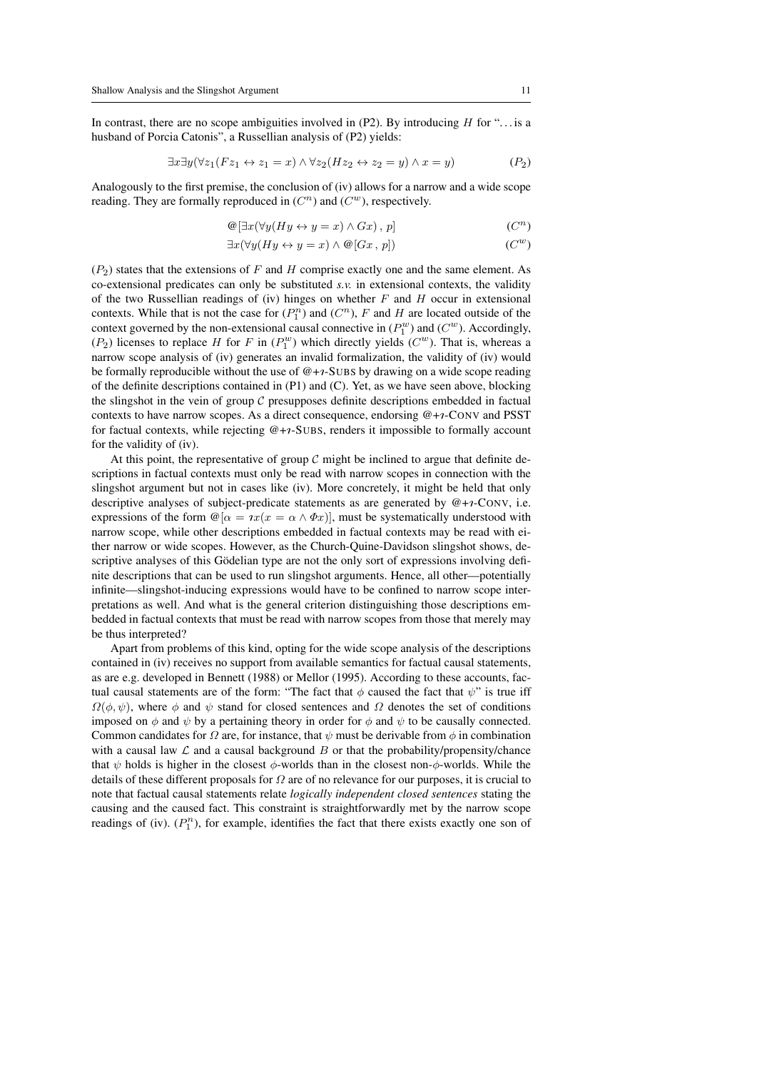In contrast, there are no scope ambiguities involved in  $(P2)$ . By introducing H for "... is a husband of Porcia Catonis", a Russellian analysis of (P2) yields:

$$
\exists x \exists y (\forall z_1 (Fz_1 \leftrightarrow z_1 = x) \land \forall z_2 (Hz_2 \leftrightarrow z_2 = y) \land x = y)
$$
 (P<sub>2</sub>)

Analogously to the first premise, the conclusion of (iv) allows for a narrow and a wide scope reading. They are formally reproduced in  $(C<sup>n</sup>)$  and  $(C<sup>w</sup>)$ , respectively.

$$
\mathcal{Q}[\exists x (\forall y (Hy \leftrightarrow y = x) \land Gx), p]
$$
\n
$$
(C^n)
$$

$$
\exists x (\forall y (Hy \leftrightarrow y = x) \land \textcircled{e}[Gx, p]) \tag{C^w}
$$

 $(P_2)$  states that the extensions of F and H comprise exactly one and the same element. As co-extensional predicates can only be substituted *s.v.* in extensional contexts, the validity of the two Russellian readings of (iv) hinges on whether  $F$  and  $H$  occur in extensional contexts. While that is not the case for  $(P_1^n)$  and  $(C^n)$ , F and H are located outside of the context governed by the non-extensional causal connective in  $(P_1^w)$  and  $(C^w)$ . Accordingly,  $(P_2)$  licenses to replace H for F in  $(P_1^w)$  which directly yields  $(C^w)$ . That is, whereas a narrow scope analysis of (iv) generates an invalid formalization, the validity of (iv) would be formally reproducible without the use of  $@+*i*-SUBS$  by drawing on a wide scope reading of the definite descriptions contained in (P1) and (C). Yet, as we have seen above, blocking the slingshot in the vein of group  $C$  presupposes definite descriptions embedded in factual contexts to have narrow scopes. As a direct consequence, endorsing  $@+*i*-CONV$  and PSST for factual contexts, while rejecting  $@+1$ -SUBS, renders it impossible to formally account for the validity of (iv).

At this point, the representative of group  $C$  might be inclined to argue that definite descriptions in factual contexts must only be read with narrow scopes in connection with the slingshot argument but not in cases like (iv). More concretely, it might be held that only descriptive analyses of subject-predicate statements as are generated by  $@+r\text{-CONV}$ , i.e. expressions of the form  $\mathcal{Q}[\alpha = x(x = \alpha \wedge \Phi x)]$ , must be systematically understood with narrow scope, while other descriptions embedded in factual contexts may be read with either narrow or wide scopes. However, as the Church-Quine-Davidson slingshot shows, descriptive analyses of this Gödelian type are not the only sort of expressions involving definite descriptions that can be used to run slingshot arguments. Hence, all other—potentially infinite—slingshot-inducing expressions would have to be confined to narrow scope interpretations as well. And what is the general criterion distinguishing those descriptions embedded in factual contexts that must be read with narrow scopes from those that merely may be thus interpreted?

Apart from problems of this kind, opting for the wide scope analysis of the descriptions contained in (iv) receives no support from available semantics for factual causal statements, as are e.g. developed in Bennett (1988) or Mellor (1995). According to these accounts, factual causal statements are of the form: "The fact that  $\phi$  caused the fact that  $\psi$ " is true iff  $\Omega(\phi, \psi)$ , where  $\phi$  and  $\psi$  stand for closed sentences and  $\Omega$  denotes the set of conditions imposed on  $\phi$  and  $\psi$  by a pertaining theory in order for  $\phi$  and  $\psi$  to be causally connected. Common candidates for  $\Omega$  are, for instance, that  $\psi$  must be derivable from  $\phi$  in combination with a causal law  $\mathcal L$  and a causal background  $B$  or that the probability/propensity/chance that  $\psi$  holds is higher in the closest  $\phi$ -worlds than in the closest non- $\phi$ -worlds. While the details of these different proposals for  $\Omega$  are of no relevance for our purposes, it is crucial to note that factual causal statements relate *logically independent closed sentences* stating the causing and the caused fact. This constraint is straightforwardly met by the narrow scope readings of (iv).  $(P_1^n)$ , for example, identifies the fact that there exists exactly one son of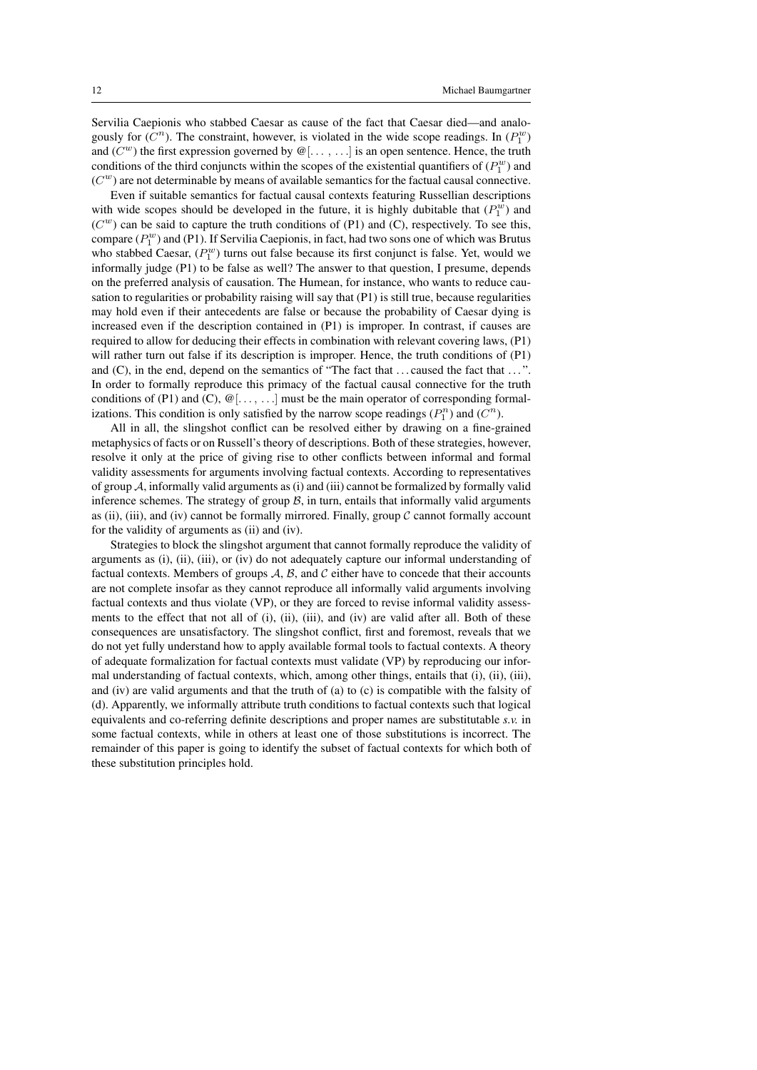Servilia Caepionis who stabbed Caesar as cause of the fact that Caesar died—and analogously for  $(C^n)$ . The constraint, however, is violated in the wide scope readings. In  $(P_1^w)$ and  $(C^w)$  the first expression governed by  $\mathcal{Q}[\ldots, \ldots]$  is an open sentence. Hence, the truth conditions of the third conjuncts within the scopes of the existential quantifiers of  $(P_1^w)$  and  $(C^w)$  are not determinable by means of available semantics for the factual causal connective.

Even if suitable semantics for factual causal contexts featuring Russellian descriptions with wide scopes should be developed in the future, it is highly dubitable that  $(P_1^w)$  and  $(C<sup>w</sup>)$  can be said to capture the truth conditions of (P1) and (C), respectively. To see this, compare  $(P_1^w)$  and (P1). If Servilia Caepionis, in fact, had two sons one of which was Brutus who stabbed Caesar,  $(P_1^w)$  turns out false because its first conjunct is false. Yet, would we informally judge (P1) to be false as well? The answer to that question, I presume, depends on the preferred analysis of causation. The Humean, for instance, who wants to reduce causation to regularities or probability raising will say that (P1) is still true, because regularities may hold even if their antecedents are false or because the probability of Caesar dying is increased even if the description contained in (P1) is improper. In contrast, if causes are required to allow for deducing their effects in combination with relevant covering laws, (P1) will rather turn out false if its description is improper. Hence, the truth conditions of (P1) and (C), in the end, depend on the semantics of "The fact that ... caused the fact that ...". In order to formally reproduce this primacy of the factual causal connective for the truth conditions of (P1) and (C),  $\mathcal{Q}[\ldots,\ldots]$  must be the main operator of corresponding formalizations. This condition is only satisfied by the narrow scope readings  $(P_1^n)$  and  $(C^n)$ .

All in all, the slingshot conflict can be resolved either by drawing on a fine-grained metaphysics of facts or on Russell's theory of descriptions. Both of these strategies, however, resolve it only at the price of giving rise to other conflicts between informal and formal validity assessments for arguments involving factual contexts. According to representatives of group  $A$ , informally valid arguments as (i) and (iii) cannot be formalized by formally valid inference schemes. The strategy of group  $B$ , in turn, entails that informally valid arguments as (ii), (iii), and (iv) cannot be formally mirrored. Finally, group  $\mathcal C$  cannot formally account for the validity of arguments as (ii) and (iv).

Strategies to block the slingshot argument that cannot formally reproduce the validity of arguments as (i), (ii), (iii), or (iv) do not adequately capture our informal understanding of factual contexts. Members of groups  $A$ ,  $B$ , and  $C$  either have to concede that their accounts are not complete insofar as they cannot reproduce all informally valid arguments involving factual contexts and thus violate (VP), or they are forced to revise informal validity assessments to the effect that not all of (i), (ii), (iii), and (iv) are valid after all. Both of these consequences are unsatisfactory. The slingshot conflict, first and foremost, reveals that we do not yet fully understand how to apply available formal tools to factual contexts. A theory of adequate formalization for factual contexts must validate (VP) by reproducing our informal understanding of factual contexts, which, among other things, entails that (i), (ii), (iii), and (iv) are valid arguments and that the truth of (a) to (c) is compatible with the falsity of (d). Apparently, we informally attribute truth conditions to factual contexts such that logical equivalents and co-referring definite descriptions and proper names are substitutable *s.v.* in some factual contexts, while in others at least one of those substitutions is incorrect. The remainder of this paper is going to identify the subset of factual contexts for which both of these substitution principles hold.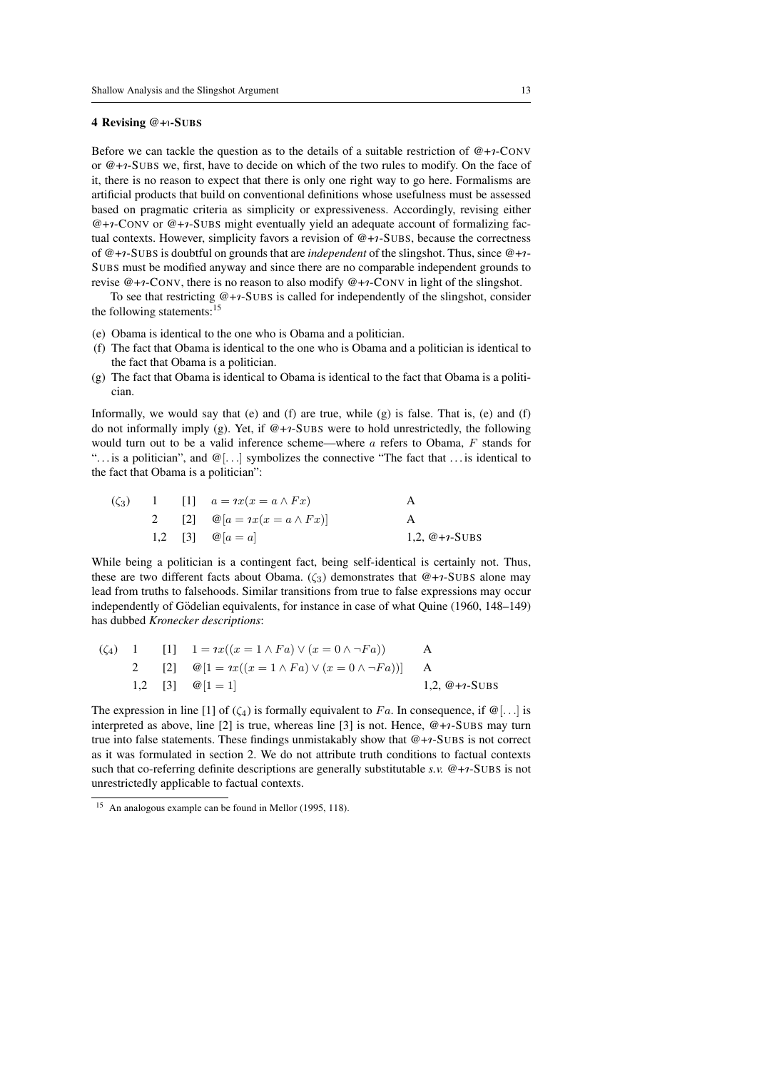#### 4 Revising @+1-SUBS

Before we can tackle the question as to the details of a suitable restriction of  $@+*i*-Conv$ or  $@+1$ -SUBS we, first, have to decide on which of the two rules to modify. On the face of it, there is no reason to expect that there is only one right way to go here. Formalisms are artificial products that build on conventional definitions whose usefulness must be assessed based on pragmatic criteria as simplicity or expressiveness. Accordingly, revising either  $@+i$ -CONV or  $@+i$ -SUBS might eventually yield an adequate account of formalizing factual contexts. However, simplicity favors a revision of  $@+7$ -SUBS, because the correctness of  $@+r$ -SUBS is doubtful on grounds that are *independent* of the slingshot. Thus, since  $@+r$ -SUBS must be modified anyway and since there are no comparable independent grounds to revise  $@+*i*-Conv$ , there is no reason to also modify  $@+*i*-Conv$  in light of the slingshot.

To see that restricting  $@+r-SUBS$  is called for independently of the slingshot, consider the following statements:<sup>15</sup>

- (e) Obama is identical to the one who is Obama and a politician.
- (f) The fact that Obama is identical to the one who is Obama and a politician is identical to the fact that Obama is a politician.
- (g) The fact that Obama is identical to Obama is identical to the fact that Obama is a politician.

Informally, we would say that  $(e)$  and  $(f)$  are true, while  $(g)$  is false. That is,  $(e)$  and  $(f)$ do not informally imply (g). Yet, if  $@+7$ -SUBS were to hold unrestrictedly, the following would turn out to be a valid inference scheme—where a refers to Obama, F stands for "... is a politician", and  $\mathcal{Q}[\ldots]$  symbolizes the connective "The fact that ... is identical to the fact that Obama is a politician":

| $(\zeta_3)$ |  | 1 [1] $a = \iota x(x = a \wedge Fx)$         |                 |
|-------------|--|----------------------------------------------|-----------------|
|             |  | 2 [2] $\mathcal{Q}[a = ix(x = a \wedge Fx)]$ |                 |
|             |  | 1,2 [3] $\omega  a = a $                     | 1,2, $@+i-SUBS$ |

While being a politician is a contingent fact, being self-identical is certainly not. Thus, these are two different facts about Obama. ( $\zeta_3$ ) demonstrates that  $@+i$ -SUBS alone may lead from truths to falsehoods. Similar transitions from true to false expressions may occur independently of Gödelian equivalents, for instance in case of what Quine (1960, 148–149) has dubbed *Kronecker descriptions*:

$$
\begin{array}{lll}\n(\zeta_4) & 1 & [1] & 1 = ix((x = 1 \land Fa) \lor (x = 0 \land \neg Fa)) & A \\
2 & [2] & @[1 = ix((x = 1 \land Fa) \lor (x = 0 \land \neg Fa))] & A \\
1,2 & [3] & @[1 = 1] & 1,2, @+i-SUBS\n\end{array}
$$

The expression in line [1] of  $(\zeta_4)$  is formally equivalent to Fa. In consequence, if  $\omega$ [...] is interpreted as above, line [2] is true, whereas line [3] is not. Hence,  $@+i$ -SUBS may turn true into false statements. These findings unmistakably show that  $@+*1*-SUBS$  is not correct as it was formulated in section 2. We do not attribute truth conditions to factual contexts such that co-referring definite descriptions are generally substitutable *s.v.* @+ $\gamma$ -SUBS is not unrestrictedly applicable to factual contexts.

<sup>15</sup> An analogous example can be found in Mellor (1995, 118).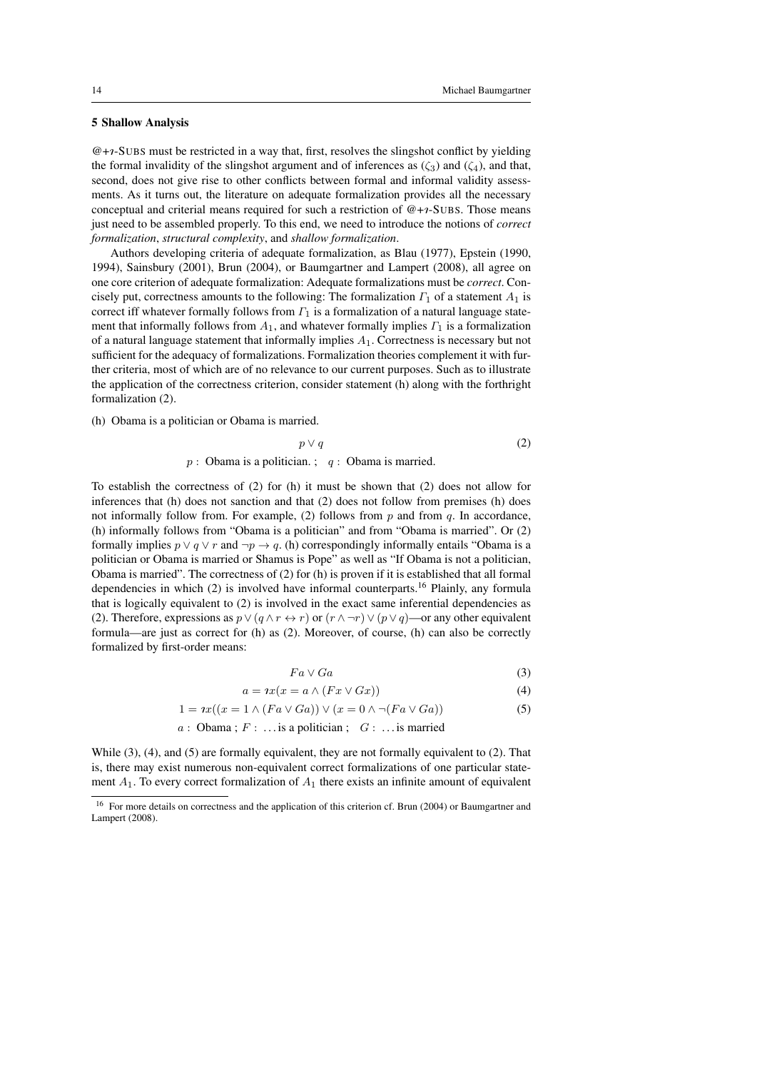#### 5 Shallow Analysis

 $@+i-SUBS$  must be restricted in a way that, first, resolves the slingshot conflict by yielding the formal invalidity of the slingshot argument and of inferences as  $(\zeta_3)$  and  $(\zeta_4)$ , and that, second, does not give rise to other conflicts between formal and informal validity assessments. As it turns out, the literature on adequate formalization provides all the necessary conceptual and criterial means required for such a restriction of  $@+*1*-SUBS$ . Those means just need to be assembled properly. To this end, we need to introduce the notions of *correct formalization*, *structural complexity*, and *shallow formalization*.

Authors developing criteria of adequate formalization, as Blau (1977), Epstein (1990, 1994), Sainsbury (2001), Brun (2004), or Baumgartner and Lampert (2008), all agree on one core criterion of adequate formalization: Adequate formalizations must be *correct*. Concisely put, correctness amounts to the following: The formalization  $\Gamma_1$  of a statement  $A_1$  is correct iff whatever formally follows from  $\Gamma_1$  is a formalization of a natural language statement that informally follows from  $A_1$ , and whatever formally implies  $\Gamma_1$  is a formalization of a natural language statement that informally implies  $A_1$ . Correctness is necessary but not sufficient for the adequacy of formalizations. Formalization theories complement it with further criteria, most of which are of no relevance to our current purposes. Such as to illustrate the application of the correctness criterion, consider statement (h) along with the forthright formalization (2).

(h) Obama is a politician or Obama is married.

$$
p \vee q
$$
\n
$$
p: \text{Obama is a politician.}; \quad q: \text{Obama is married.}
$$
\n
$$
(2)
$$

To establish the correctness of (2) for (h) it must be shown that (2) does not allow for inferences that (h) does not sanction and that (2) does not follow from premises (h) does not informally follow from. For example, (2) follows from  $p$  and from  $q$ . In accordance, (h) informally follows from "Obama is a politician" and from "Obama is married". Or (2) formally implies  $p \lor q \lor r$  and  $\neg p \rightarrow q$ . (h) correspondingly informally entails "Obama is a politician or Obama is married or Shamus is Pope" as well as "If Obama is not a politician, Obama is married". The correctness of (2) for (h) is proven if it is established that all formal dependencies in which  $(2)$  is involved have informal counterparts.<sup>16</sup> Plainly, any formula that is logically equivalent to (2) is involved in the exact same inferential dependencies as (2). Therefore, expressions as  $p \vee (q \wedge r \leftrightarrow r)$  or  $(r \wedge \neg r) \vee (p \vee q)$ —or any other equivalent formula—are just as correct for (h) as (2). Moreover, of course, (h) can also be correctly formalized by first-order means:

$$
Fa\vee Ga\tag{3}
$$

$$
a = ix(x = a \land (Fx \lor Gx))
$$
\n(4)

$$
1 = \iota x((x = 1 \land (Fa \lor Ga)) \lor (x = 0 \land \neg (Fa \lor Ga))
$$
\n(5)

$$
a
$$
: Obama;  $F$ : ... is a politician;  $G$ : ... is married

While  $(3)$ ,  $(4)$ , and  $(5)$  are formally equivalent, they are not formally equivalent to  $(2)$ . That is, there may exist numerous non-equivalent correct formalizations of one particular statement  $A_1$ . To every correct formalization of  $A_1$  there exists an infinite amount of equivalent

<sup>&</sup>lt;sup>16</sup> For more details on correctness and the application of this criterion cf. Brun (2004) or Baumgartner and Lampert (2008).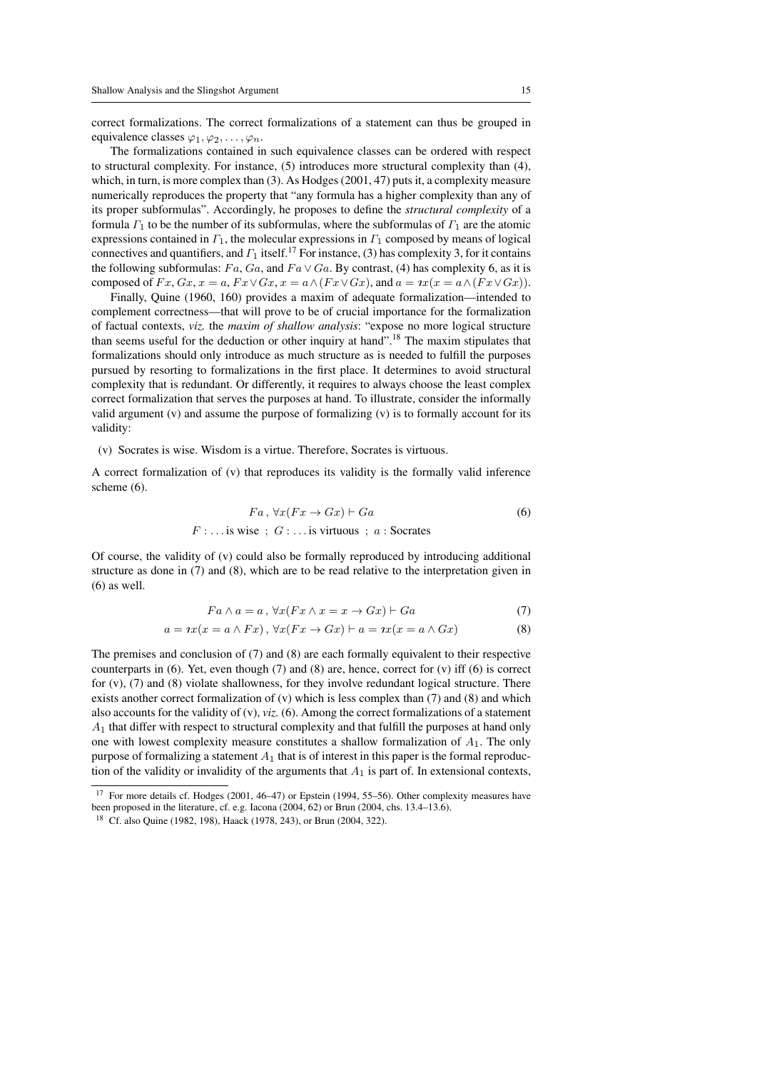correct formalizations. The correct formalizations of a statement can thus be grouped in equivalence classes  $\varphi_1, \varphi_2, \ldots, \varphi_n$ .

The formalizations contained in such equivalence classes can be ordered with respect to structural complexity. For instance, (5) introduces more structural complexity than (4), which, in turn, is more complex than (3). As Hodges (2001, 47) puts it, a complexity measure numerically reproduces the property that "any formula has a higher complexity than any of its proper subformulas". Accordingly, he proposes to define the *structural complexity* of a formula  $\Gamma_1$  to be the number of its subformulas, where the subformulas of  $\Gamma_1$  are the atomic expressions contained in  $\Gamma_1$ , the molecular expressions in  $\Gamma_1$  composed by means of logical connectives and quantifiers, and  $\Gamma_1$  itself.<sup>17</sup> For instance, (3) has complexity 3, for it contains the following subformulas:  $Fa$ ,  $Ga$ , and  $Fa \vee Ga$ . By contrast, (4) has complexity 6, as it is composed of  $Fx, Gx, x = a, Fx \vee Gx, x = a \wedge (Fx \vee Gx)$ , and  $a = \alpha(x = a \wedge (Fx \vee Gx))$ .

Finally, Quine (1960, 160) provides a maxim of adequate formalization—intended to complement correctness—that will prove to be of crucial importance for the formalization of factual contexts, *viz.* the *maxim of shallow analysis*: "expose no more logical structure than seems useful for the deduction or other inquiry at hand".<sup>18</sup> The maxim stipulates that formalizations should only introduce as much structure as is needed to fulfill the purposes pursued by resorting to formalizations in the first place. It determines to avoid structural complexity that is redundant. Or differently, it requires to always choose the least complex correct formalization that serves the purposes at hand. To illustrate, consider the informally valid argument (v) and assume the purpose of formalizing (v) is to formally account for its validity:

(v) Socrates is wise. Wisdom is a virtue. Therefore, Socrates is virtuous.

A correct formalization of (v) that reproduces its validity is the formally valid inference scheme (6).

$$
Fa, \forall x (Fx \rightarrow Gx) \vdash Ga
$$
  

$$
F : \dots \text{is wise} \; ; \; G : \dots \text{is virtuous} \; ; \; a : \text{Socrates}
$$
 (6)

Of course, the validity of (v) could also be formally reproduced by introducing additional structure as done in (7) and (8), which are to be read relative to the interpretation given in (6) as well.

$$
Fa \wedge a = a, \forall x (Fx \wedge x = x \rightarrow Gx) \vdash Ga \tag{7}
$$

$$
a = ix(x = a \wedge Fx), \forall x (Fx \rightarrow Gx) \vdash a = ix(x = a \wedge Gx)
$$
 (8)

The premises and conclusion of (7) and (8) are each formally equivalent to their respective counterparts in  $(6)$ . Yet, even though  $(7)$  and  $(8)$  are, hence, correct for  $(v)$  iff  $(6)$  is correct for (v), (7) and (8) violate shallowness, for they involve redundant logical structure. There exists another correct formalization of  $(v)$  which is less complex than  $(7)$  and  $(8)$  and which also accounts for the validity of  $(v)$ ,  $viz$ . (6). Among the correct formalizations of a statement  $A_1$  that differ with respect to structural complexity and that fulfill the purposes at hand only one with lowest complexity measure constitutes a shallow formalization of  $A<sub>1</sub>$ . The only purpose of formalizing a statement  $A_1$  that is of interest in this paper is the formal reproduction of the validity or invalidity of the arguments that  $A_1$  is part of. In extensional contexts,

<sup>&</sup>lt;sup>17</sup> For more details cf. Hodges (2001, 46–47) or Epstein (1994, 55–56). Other complexity measures have been proposed in the literature, cf. e.g. Iacona (2004, 62) or Brun (2004, chs. 13.4–13.6).

<sup>18</sup> Cf. also Quine (1982, 198), Haack (1978, 243), or Brun (2004, 322).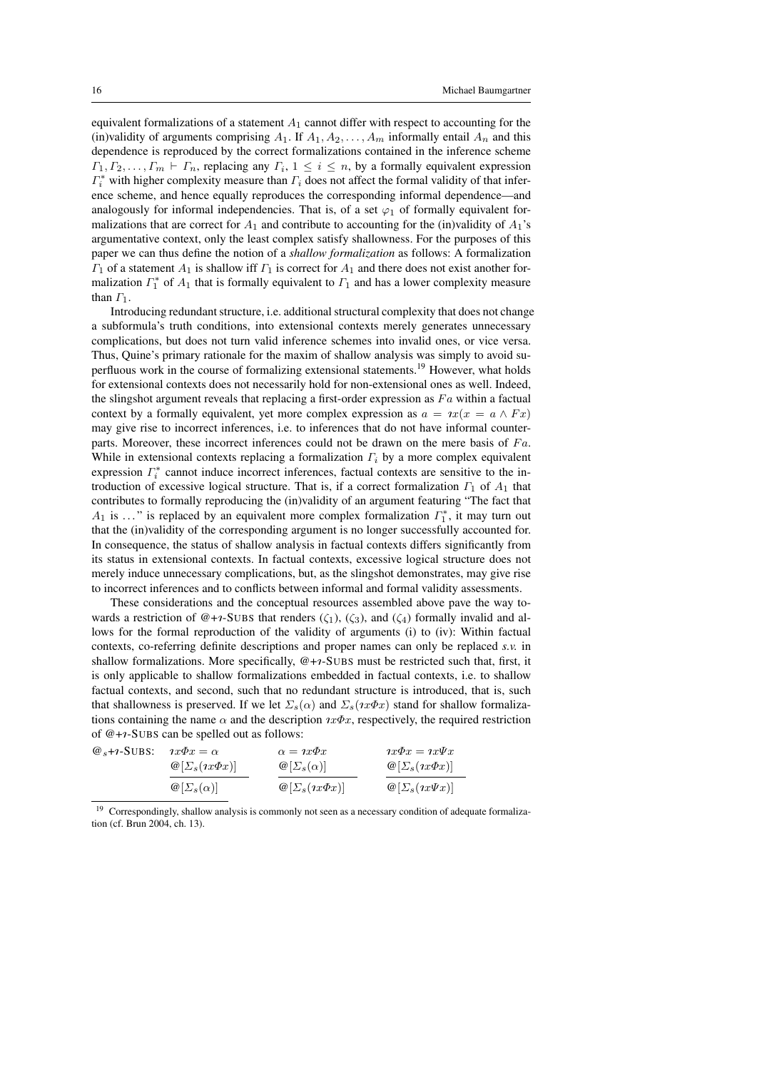equivalent formalizations of a statement  $A_1$  cannot differ with respect to accounting for the (in)validity of arguments comprising  $A_1$ . If  $A_1, A_2, \ldots, A_m$  informally entail  $A_n$  and this dependence is reproduced by the correct formalizations contained in the inference scheme  $\Gamma_1, \Gamma_2, \ldots, \Gamma_m \vdash \Gamma_n$ , replacing any  $\Gamma_i$ ,  $1 \leq i \leq n$ , by a formally equivalent expression  $\Gamma_i^*$  with higher complexity measure than  $\Gamma_i$  does not affect the formal validity of that inference scheme, and hence equally reproduces the corresponding informal dependence—and analogously for informal independencies. That is, of a set  $\varphi_1$  of formally equivalent formalizations that are correct for  $A_1$  and contribute to accounting for the (in)validity of  $A_1$ 's argumentative context, only the least complex satisfy shallowness. For the purposes of this paper we can thus define the notion of a *shallow formalization* as follows: A formalization  $\Gamma_1$  of a statement  $A_1$  is shallow iff  $\Gamma_1$  is correct for  $A_1$  and there does not exist another formalization  $\Gamma_1^*$  of  $A_1$  that is formally equivalent to  $\Gamma_1$  and has a lower complexity measure than  $\Gamma_1$ .

Introducing redundant structure, i.e. additional structural complexity that does not change a subformula's truth conditions, into extensional contexts merely generates unnecessary complications, but does not turn valid inference schemes into invalid ones, or vice versa. Thus, Quine's primary rationale for the maxim of shallow analysis was simply to avoid superfluous work in the course of formalizing extensional statements.<sup>19</sup> However, what holds for extensional contexts does not necessarily hold for non-extensional ones as well. Indeed, the slingshot argument reveals that replacing a first-order expression as  $Fa$  within a factual context by a formally equivalent, yet more complex expression as  $a = \alpha x(x = a \wedge Fx)$ may give rise to incorrect inferences, i.e. to inferences that do not have informal counterparts. Moreover, these incorrect inferences could not be drawn on the mere basis of  $Fa$ . While in extensional contexts replacing a formalization  $\Gamma_i$  by a more complex equivalent expression  $\Gamma_i^*$  cannot induce incorrect inferences, factual contexts are sensitive to the introduction of excessive logical structure. That is, if a correct formalization  $\Gamma_1$  of  $A_1$  that contributes to formally reproducing the (in)validity of an argument featuring "The fact that  $A_1$  is ..." is replaced by an equivalent more complex formalization  $\Gamma_1^*$ , it may turn out that the (in)validity of the corresponding argument is no longer successfully accounted for. In consequence, the status of shallow analysis in factual contexts differs significantly from its status in extensional contexts. In factual contexts, excessive logical structure does not merely induce unnecessary complications, but, as the slingshot demonstrates, may give rise to incorrect inferences and to conflicts between informal and formal validity assessments.

These considerations and the conceptual resources assembled above pave the way towards a restriction of  $@+7$ -SUBS that renders  $(\zeta_1), (\zeta_3)$ , and  $(\zeta_4)$  formally invalid and allows for the formal reproduction of the validity of arguments (i) to (iv): Within factual contexts, co-referring definite descriptions and proper names can only be replaced *s.v.* in shallow formalizations. More specifically,  $@+r$ -SUBS must be restricted such that, first, it is only applicable to shallow formalizations embedded in factual contexts, i.e. to shallow factual contexts, and second, such that no redundant structure is introduced, that is, such that shallowness is preserved. If we let  $\Sigma_s(\alpha)$  and  $\Sigma_s(nx\Phi x)$  stand for shallow formalizations containing the name  $\alpha$  and the description  $\alpha \Phi x$ , respectively, the required restriction of  $@+*i*-SUBs$  can be spelled out as follows:

| $\omega$ <sub>s</sub> + <sub>1</sub> -S <sub>UBS</sub> : | $\iota x \Phi x = \alpha$                | $\alpha = \iota x \varphi x$             | $\iota x \Phi x = \iota x \Psi x$        |  |
|----------------------------------------------------------|------------------------------------------|------------------------------------------|------------------------------------------|--|
|                                                          | $\mathcal{Q}[\Sigma_s(\imath x \Phi x)]$ | $\omega[\Sigma_s(\alpha)]$               | $\mathcal{Q}[\Sigma_s(\imath x \Phi x)]$ |  |
|                                                          | $\omega_{\left[\sum_{s}(\alpha)\right]}$ | $\mathcal{Q}[\Sigma_s(\imath x \Phi x)]$ | $\mathcal{Q}[\Sigma_s(\imath x \Psi x)]$ |  |

<sup>&</sup>lt;sup>19</sup> Correspondingly, shallow analysis is commonly not seen as a necessary condition of adequate formalization (cf. Brun 2004, ch. 13).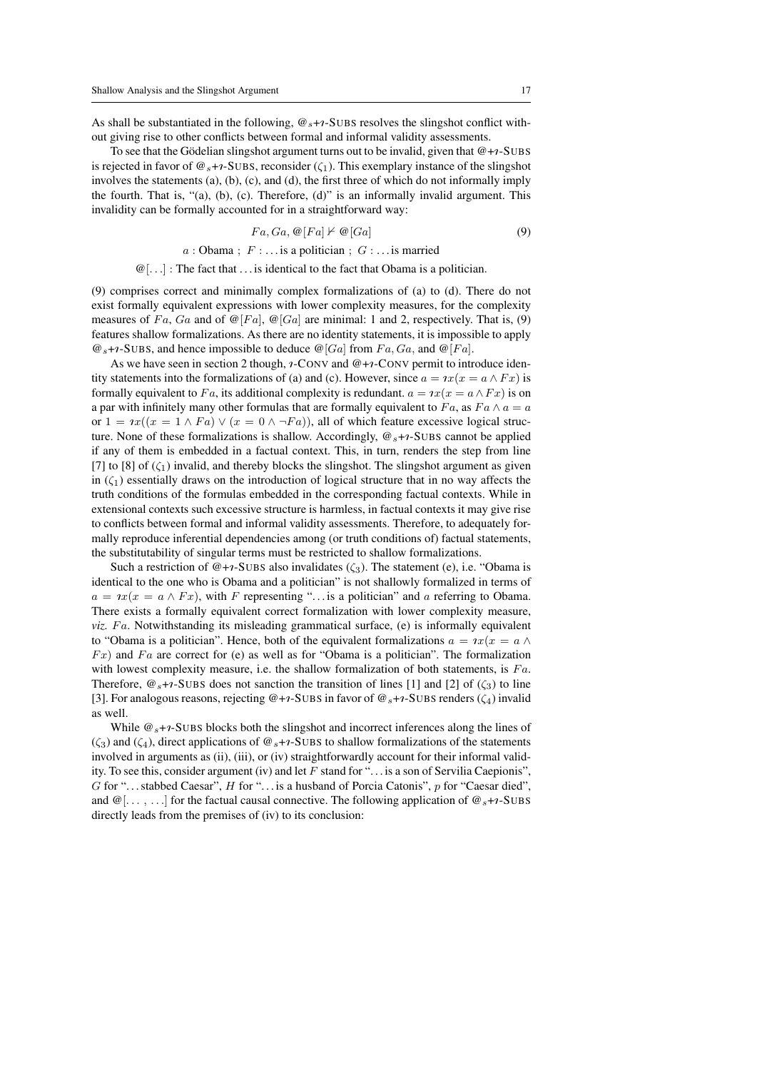As shall be substantiated in the following,  $\mathcal{Q}_s$ +1-SUBS resolves the slingshot conflict without giving rise to other conflicts between formal and informal validity assessments.

To see that the Gödelian slingshot argument turns out to be invalid, given that  $@+r$ -SUBS is rejected in favor of  $\mathcal{Q}_s$ +1-SUBS, reconsider ( $\zeta_1$ ). This exemplary instance of the slingshot involves the statements (a), (b), (c), and (d), the first three of which do not informally imply the fourth. That is, "(a), (b), (c). Therefore, (d)" is an informally invalid argument. This invalidity can be formally accounted for in a straightforward way:

$$
Fa, Ga, \mathcal{Q}[Fa] \nvdash \mathcal{Q}[Ga] \tag{9}
$$

$$
a : \text{Obama} \; ; \; F : \ldots
$$
 is a politician  $; \; G : \ldots$  is married

 $\mathcal{Q}[\ldots]$ : The fact that  $\ldots$  is identical to the fact that Obama is a politician.

(9) comprises correct and minimally complex formalizations of (a) to (d). There do not exist formally equivalent expressions with lower complexity measures, for the complexity measures of Fa, Ga and of  $\mathcal{Q}[Fa]$ ,  $\mathcal{Q}[Ga]$  are minimal: 1 and 2, respectively. That is, (9) features shallow formalizations. As there are no identity statements, it is impossible to apply  $\mathcal{Q}_s$ +1-SUBS, and hence impossible to deduce  $\mathcal{Q}[Ga]$  from  $Fa, Ga,$  and  $\mathcal{Q}[Fa]$ .

As we have seen in section 2 though,  $\imath$ -CONV and  $@+ \imath$ -CONV permit to introduce identity statements into the formalizations of (a) and (c). However, since  $a = \iota x(x = a \wedge Fx)$  is formally equivalent to Fa, its additional complexity is redundant.  $a = \alpha(x = a \wedge Fx)$  is on a par with infinitely many other formulas that are formally equivalent to Fa, as  $Fa \wedge a = a$ or  $1 = \alpha((x = 1 \wedge Fa) \vee (x = 0 \wedge \neg Fa))$ , all of which feature excessive logical structure. None of these formalizations is shallow. Accordingly,  $\mathcal{Q}_s$ + $\gamma$ -SUBS cannot be applied if any of them is embedded in a factual context. This, in turn, renders the step from line [7] to [8] of  $(\zeta_1)$  invalid, and thereby blocks the slingshot. The slingshot argument as given in  $(\zeta_1)$  essentially draws on the introduction of logical structure that in no way affects the truth conditions of the formulas embedded in the corresponding factual contexts. While in extensional contexts such excessive structure is harmless, in factual contexts it may give rise to conflicts between formal and informal validity assessments. Therefore, to adequately formally reproduce inferential dependencies among (or truth conditions of) factual statements, the substitutability of singular terms must be restricted to shallow formalizations.

Such a restriction of  $@+r$ -SUBS also invalidates  $(\zeta_3)$ . The statement (e), i.e. "Obama is identical to the one who is Obama and a politician" is not shallowly formalized in terms of  $a = \alpha(x = a \wedge Fx)$ , with F representing "... is a politician" and a referring to Obama. There exists a formally equivalent correct formalization with lower complexity measure, *viz.*  $Fa$ . Notwithstanding its misleading grammatical surface, (e) is informally equivalent to "Obama is a politician". Hence, both of the equivalent formalizations  $a = \alpha x(x = a \wedge b)$  $Fx$ ) and  $Fa$  are correct for (e) as well as for "Obama is a politician". The formalization with lowest complexity measure, i.e. the shallow formalization of both statements, is  $Fa$ . Therefore,  $\mathcal{Q}_s$ +*1*-SUBS does not sanction the transition of lines [1] and [2] of ( $\zeta_3$ ) to line [3]. For analogous reasons, rejecting  $@+_{7}SUBS$  in favor of  $@+_{7}SUBS$  renders ( $\zeta_4$ ) invalid as well.

While  $\mathcal{Q}_s$ +1-SUBS blocks both the slingshot and incorrect inferences along the lines of  $(\zeta_3)$  and  $(\zeta_4)$ , direct applications of  $\mathcal{Q}_s$ +*1*-SUBS to shallow formalizations of the statements involved in arguments as (ii), (iii), or (iv) straightforwardly account for their informal validity. To see this, consider argument (iv) and let F stand for " $\dots$  is a son of Servilia Caepionis", G for " $\dots$  stabbed Caesar", H for " $\dots$  is a husband of Porcia Catonis", p for "Caesar died", and  $\mathcal{Q}[\ldots, \ldots]$  for the factual causal connective. The following application of  $\mathcal{Q}_s$ +1-SUBS directly leads from the premises of (iv) to its conclusion: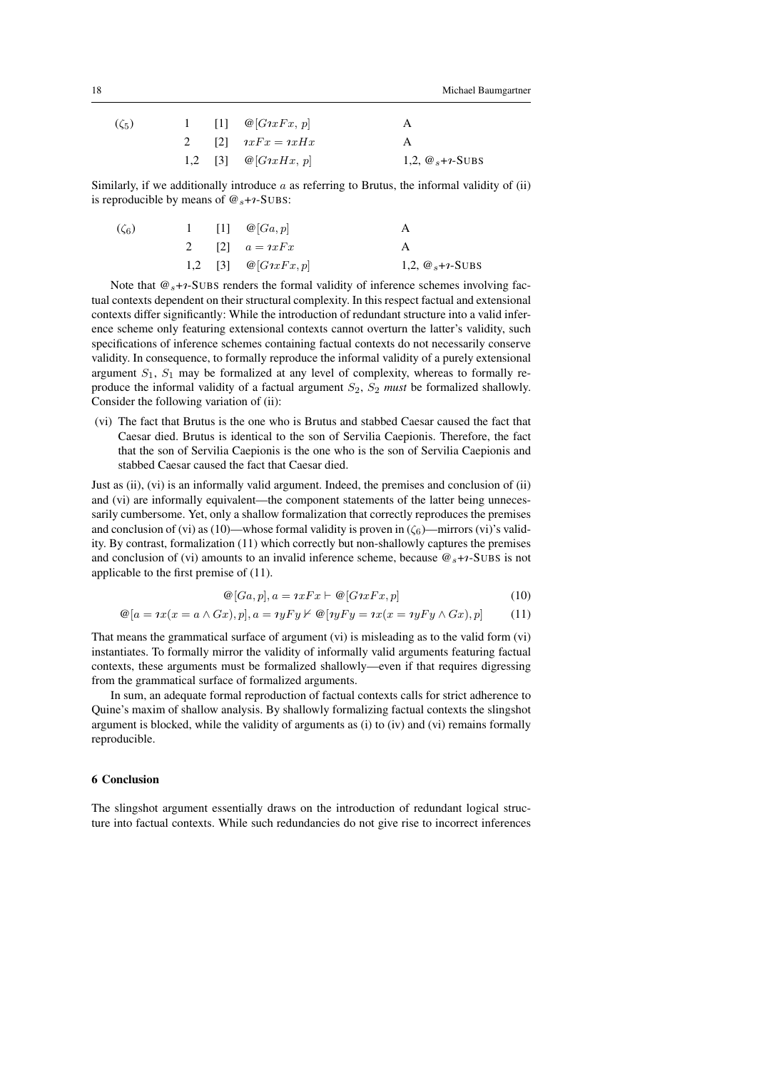| $(\zeta_5)$ |  | 1 [1] $\omega[G \iota x F x, p]$    |                      |
|-------------|--|-------------------------------------|----------------------|
|             |  | 2 [2] $ixFx = ixHx$                 |                      |
|             |  | 1,2 [3] $\omega[G \imath x H x, p]$ | 1,2, $@_{s+1}$ -SUBS |

Similarly, if we additionally introduce  $a$  as referring to Brutus, the informal validity of (ii) is reproducible by means of  $\mathcal{Q}_s + \gamma$ -SUBS:

| $(\zeta_6)$ |  | 1 [1] $\omega[Ga,p]$                      |                      |
|-------------|--|-------------------------------------------|----------------------|
|             |  | 2 [2] $a = i x F x$                       |                      |
|             |  | 1,2 [3] $\mathcal{Q}[G \text{Tr} F x, p]$ | 1,2, $@_{s+1}$ -SUBS |

Note that  $\mathcal{Q}_s$ + $\gamma$ -SUBS renders the formal validity of inference schemes involving factual contexts dependent on their structural complexity. In this respect factual and extensional contexts differ significantly: While the introduction of redundant structure into a valid inference scheme only featuring extensional contexts cannot overturn the latter's validity, such specifications of inference schemes containing factual contexts do not necessarily conserve validity. In consequence, to formally reproduce the informal validity of a purely extensional argument  $S_1$ ,  $S_1$  may be formalized at any level of complexity, whereas to formally reproduce the informal validity of a factual argument  $S_2$ ,  $S_2$  *must* be formalized shallowly. Consider the following variation of (ii):

(vi) The fact that Brutus is the one who is Brutus and stabbed Caesar caused the fact that Caesar died. Brutus is identical to the son of Servilia Caepionis. Therefore, the fact that the son of Servilia Caepionis is the one who is the son of Servilia Caepionis and stabbed Caesar caused the fact that Caesar died.

Just as (ii), (vi) is an informally valid argument. Indeed, the premises and conclusion of (ii) and (vi) are informally equivalent—the component statements of the latter being unnecessarily cumbersome. Yet, only a shallow formalization that correctly reproduces the premises and conclusion of (vi) as (10)—whose formal validity is proven in  $(\zeta_6)$ —mirrors (vi)'s validity. By contrast, formalization (11) which correctly but non-shallowly captures the premises and conclusion of (vi) amounts to an invalid inference scheme, because  $\mathcal{Q}_s$ + $\iota$ -SUBS is not applicable to the first premise of (11).

$$
\mathcal{Q}[Ga, p], a = \iota x F x \vdash \mathcal{Q}[G \iota x F x, p] \tag{10}
$$

$$
\mathcal{Q}[a = ix(x = a \wedge Gx), p], a = \eta y F y \nvdash \mathcal{Q}[\eta y F y = \eta x(x = \eta y F y \wedge Gx), p] \tag{11}
$$

That means the grammatical surface of argument (vi) is misleading as to the valid form (vi) instantiates. To formally mirror the validity of informally valid arguments featuring factual contexts, these arguments must be formalized shallowly—even if that requires digressing from the grammatical surface of formalized arguments.

In sum, an adequate formal reproduction of factual contexts calls for strict adherence to Quine's maxim of shallow analysis. By shallowly formalizing factual contexts the slingshot argument is blocked, while the validity of arguments as (i) to (iv) and (vi) remains formally reproducible.

#### 6 Conclusion

The slingshot argument essentially draws on the introduction of redundant logical structure into factual contexts. While such redundancies do not give rise to incorrect inferences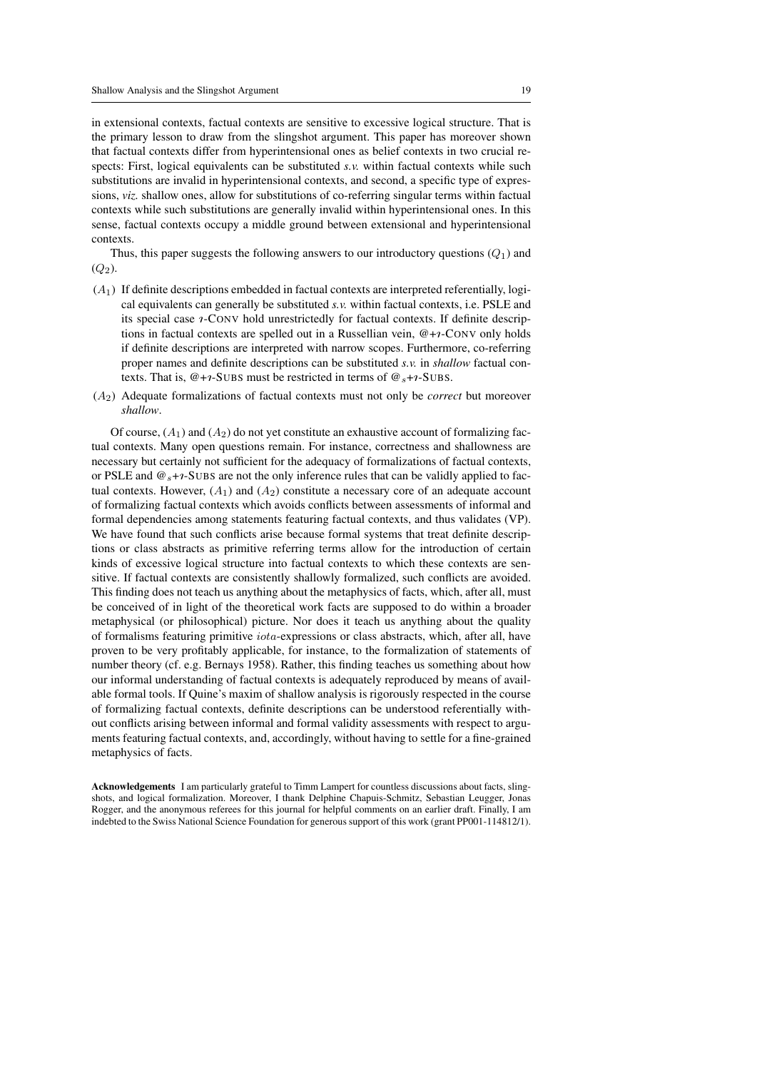in extensional contexts, factual contexts are sensitive to excessive logical structure. That is the primary lesson to draw from the slingshot argument. This paper has moreover shown that factual contexts differ from hyperintensional ones as belief contexts in two crucial respects: First, logical equivalents can be substituted *s.v.* within factual contexts while such substitutions are invalid in hyperintensional contexts, and second, a specific type of expressions, *viz.* shallow ones, allow for substitutions of co-referring singular terms within factual contexts while such substitutions are generally invalid within hyperintensional ones. In this sense, factual contexts occupy a middle ground between extensional and hyperintensional contexts.

Thus, this paper suggests the following answers to our introductory questions  $(Q_1)$  and  $(Q_2)$ .

- $(A<sub>1</sub>)$  If definite descriptions embedded in factual contexts are interpreted referentially, logical equivalents can generally be substituted *s.v.* within factual contexts, i.e. PSLE and its special case  $\imath$ -CONV hold unrestrictedly for factual contexts. If definite descriptions in factual contexts are spelled out in a Russellian vein,  $@ + \gamma$ -CONV only holds if definite descriptions are interpreted with narrow scopes. Furthermore, co-referring proper names and definite descriptions can be substituted *s.v.* in *shallow* factual contexts. That is,  $@+*i*-SUBS$  must be restricted in terms of  $@<sub>s</sub>+*i*-SUBS$ .
- (A2) Adequate formalizations of factual contexts must not only be *correct* but moreover *shallow*.

Of course,  $(A_1)$  and  $(A_2)$  do not yet constitute an exhaustive account of formalizing factual contexts. Many open questions remain. For instance, correctness and shallowness are necessary but certainly not sufficient for the adequacy of formalizations of factual contexts, or PSLE and  $\mathcal{Q}_{s+1}$ -SUBS are not the only inference rules that can be validly applied to factual contexts. However,  $(A_1)$  and  $(A_2)$  constitute a necessary core of an adequate account of formalizing factual contexts which avoids conflicts between assessments of informal and formal dependencies among statements featuring factual contexts, and thus validates (VP). We have found that such conflicts arise because formal systems that treat definite descriptions or class abstracts as primitive referring terms allow for the introduction of certain kinds of excessive logical structure into factual contexts to which these contexts are sensitive. If factual contexts are consistently shallowly formalized, such conflicts are avoided. This finding does not teach us anything about the metaphysics of facts, which, after all, must be conceived of in light of the theoretical work facts are supposed to do within a broader metaphysical (or philosophical) picture. Nor does it teach us anything about the quality of formalisms featuring primitive iota-expressions or class abstracts, which, after all, have proven to be very profitably applicable, for instance, to the formalization of statements of number theory (cf. e.g. Bernays 1958). Rather, this finding teaches us something about how our informal understanding of factual contexts is adequately reproduced by means of available formal tools. If Quine's maxim of shallow analysis is rigorously respected in the course of formalizing factual contexts, definite descriptions can be understood referentially without conflicts arising between informal and formal validity assessments with respect to arguments featuring factual contexts, and, accordingly, without having to settle for a fine-grained metaphysics of facts.

Acknowledgements I am particularly grateful to Timm Lampert for countless discussions about facts, slingshots, and logical formalization. Moreover, I thank Delphine Chapuis-Schmitz, Sebastian Leugger, Jonas Rogger, and the anonymous referees for this journal for helpful comments on an earlier draft. Finally, I am indebted to the Swiss National Science Foundation for generous support of this work (grant PP001-114812/1).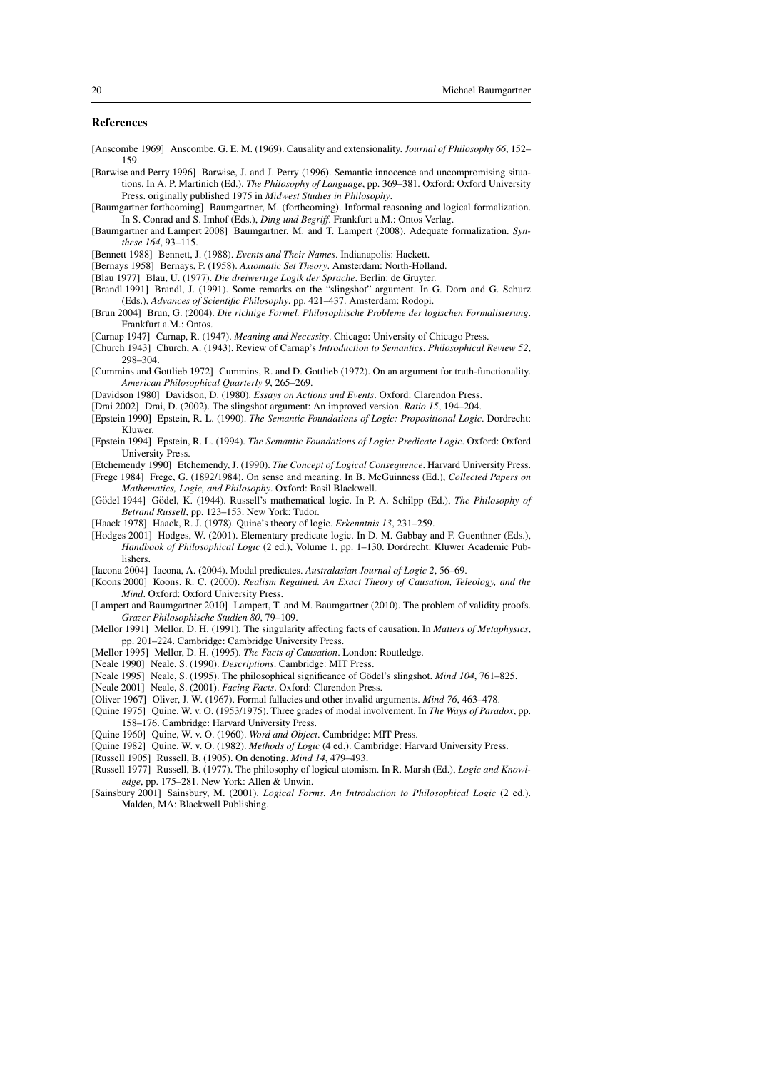### References

- [Anscombe 1969] Anscombe, G. E. M. (1969). Causality and extensionality. *Journal of Philosophy 66*, 152– 159.
- [Barwise and Perry 1996] Barwise, J. and J. Perry (1996). Semantic innocence and uncompromising situations. In A. P. Martinich (Ed.), *The Philosophy of Language*, pp. 369–381. Oxford: Oxford University Press. originally published 1975 in *Midwest Studies in Philosophy*.
- [Baumgartner forthcoming] Baumgartner, M. (forthcoming). Informal reasoning and logical formalization. In S. Conrad and S. Imhof (Eds.), *Ding und Begriff*. Frankfurt a.M.: Ontos Verlag.
- [Baumgartner and Lampert 2008] Baumgartner, M. and T. Lampert (2008). Adequate formalization. *Synthese 164*, 93–115.

[Bennett 1988] Bennett, J. (1988). *Events and Their Names*. Indianapolis: Hackett.

- [Bernays 1958] Bernays, P. (1958). *Axiomatic Set Theory*. Amsterdam: North-Holland.
- [Blau 1977] Blau, U. (1977). *Die dreiwertige Logik der Sprache*. Berlin: de Gruyter.
- [Brandl 1991] Brandl, J. (1991). Some remarks on the "slingshot" argument. In G. Dorn and G. Schurz (Eds.), *Advances of Scientific Philosophy*, pp. 421–437. Amsterdam: Rodopi.
- [Brun 2004] Brun, G. (2004). *Die richtige Formel. Philosophische Probleme der logischen Formalisierung*. Frankfurt a.M.: Ontos.
- [Carnap 1947] Carnap, R. (1947). *Meaning and Necessity*. Chicago: University of Chicago Press.
- [Church 1943] Church, A. (1943). Review of Carnap's *Introduction to Semantics*. *Philosophical Review 52*, 298–304.
- [Cummins and Gottlieb 1972] Cummins, R. and D. Gottlieb (1972). On an argument for truth-functionality. *American Philosophical Quarterly 9*, 265–269.
- [Davidson 1980] Davidson, D. (1980). *Essays on Actions and Events*. Oxford: Clarendon Press.
- [Drai 2002] Drai, D. (2002). The slingshot argument: An improved version. *Ratio 15*, 194–204.
- [Epstein 1990] Epstein, R. L. (1990). *The Semantic Foundations of Logic: Propositional Logic*. Dordrecht: Kluwer.
- [Epstein 1994] Epstein, R. L. (1994). *The Semantic Foundations of Logic: Predicate Logic*. Oxford: Oxford University Press.
- [Etchemendy 1990] Etchemendy, J. (1990). *The Concept of Logical Consequence*. Harvard University Press.
- [Frege 1984] Frege, G. (1892/1984). On sense and meaning. In B. McGuinness (Ed.), *Collected Papers on Mathematics, Logic, and Philosophy*. Oxford: Basil Blackwell.
- [Gödel 1944] Gödel, K. (1944). Russell's mathematical logic. In P. A. Schilpp (Ed.), *The Philosophy of Betrand Russell*, pp. 123–153. New York: Tudor.
- [Haack 1978] Haack, R. J. (1978). Quine's theory of logic. *Erkenntnis 13*, 231–259.
- [Hodges 2001] Hodges, W. (2001). Elementary predicate logic. In D. M. Gabbay and F. Guenthner (Eds.), *Handbook of Philosophical Logic* (2 ed.), Volume 1, pp. 1–130. Dordrecht: Kluwer Academic Publishers.
- [Iacona 2004] Iacona, A. (2004). Modal predicates. *Australasian Journal of Logic 2*, 56–69.
- [Koons 2000] Koons, R. C. (2000). *Realism Regained. An Exact Theory of Causation, Teleology, and the Mind*. Oxford: Oxford University Press.
- [Lampert and Baumgartner 2010] Lampert, T. and M. Baumgartner (2010). The problem of validity proofs. *Grazer Philosophische Studien 80*, 79–109.
- [Mellor 1991] Mellor, D. H. (1991). The singularity affecting facts of causation. In *Matters of Metaphysics*, pp. 201–224. Cambridge: Cambridge University Press.
- [Mellor 1995] Mellor, D. H. (1995). *The Facts of Causation*. London: Routledge.
- [Neale 1990] Neale, S. (1990). *Descriptions*. Cambridge: MIT Press.
- [Neale 1995] Neale, S. (1995). The philosophical significance of Gödel's slingshot. *Mind 104*, 761–825.
- [Neale 2001] Neale, S. (2001). *Facing Facts*. Oxford: Clarendon Press.
- [Oliver 1967] Oliver, J. W. (1967). Formal fallacies and other invalid arguments. *Mind 76*, 463–478.
- [Quine 1975] Quine, W. v. O. (1953/1975). Three grades of modal involvement. In *The Ways of Paradox*, pp. 158–176. Cambridge: Harvard University Press.
- [Quine 1960] Quine, W. v. O. (1960). *Word and Object*. Cambridge: MIT Press.
- [Quine 1982] Quine, W. v. O. (1982). *Methods of Logic* (4 ed.). Cambridge: Harvard University Press.
- [Russell 1905] Russell, B. (1905). On denoting. *Mind 14*, 479–493.
- [Russell 1977] Russell, B. (1977). The philosophy of logical atomism. In R. Marsh (Ed.), *Logic and Knowledge*, pp. 175–281. New York: Allen & Unwin.
- [Sainsbury 2001] Sainsbury, M. (2001). *Logical Forms. An Introduction to Philosophical Logic* (2 ed.). Malden, MA: Blackwell Publishing.